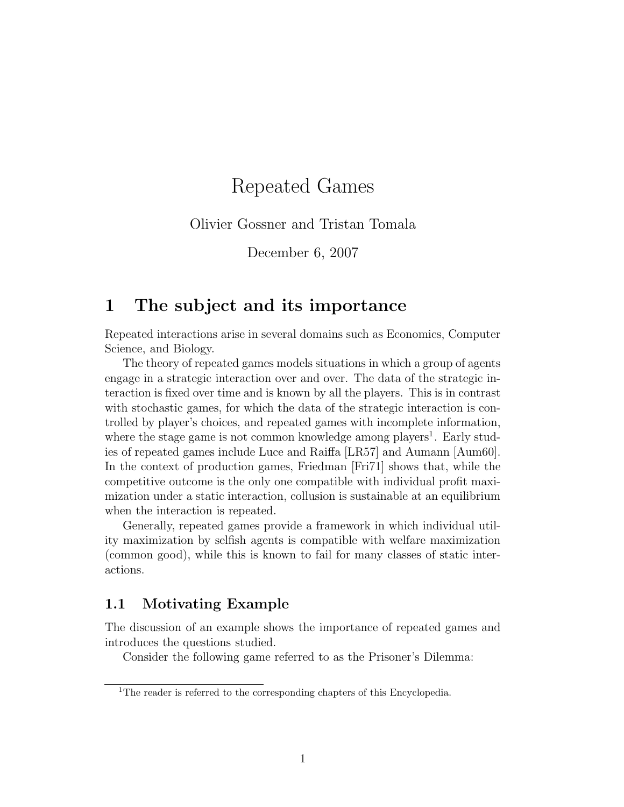# Repeated Games

Olivier Gossner and Tristan Tomala

December 6, 2007

## 1 The subject and its importance

Repeated interactions arise in several domains such as Economics, Computer Science, and Biology.

The theory of repeated games models situations in which a group of agents engage in a strategic interaction over and over. The data of the strategic interaction is fixed over time and is known by all the players. This is in contrast with stochastic games, for which the data of the strategic interaction is controlled by player's choices, and repeated games with incomplete information, where the stage game is not common knowledge among players<sup>1</sup>. Early studies of repeated games include Luce and Raiffa [LR57] and Aumann [Aum60]. In the context of production games, Friedman [Fri71] shows that, while the competitive outcome is the only one compatible with individual profit maximization under a static interaction, collusion is sustainable at an equilibrium when the interaction is repeated.

Generally, repeated games provide a framework in which individual utility maximization by selfish agents is compatible with welfare maximization (common good), while this is known to fail for many classes of static interactions.

## 1.1 Motivating Example

The discussion of an example shows the importance of repeated games and introduces the questions studied.

Consider the following game referred to as the Prisoner's Dilemma:

<sup>&</sup>lt;sup>1</sup>The reader is referred to the corresponding chapters of this Encyclopedia.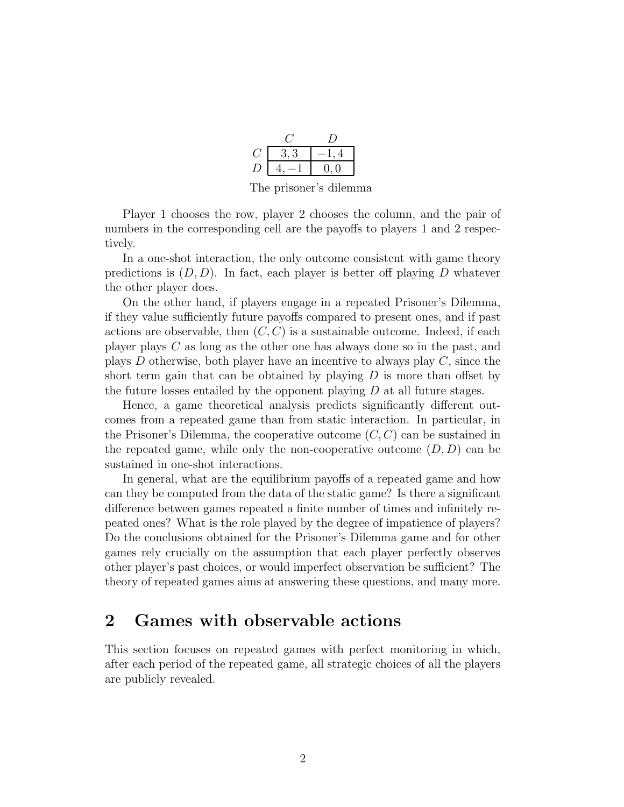| بر. |  |
|-----|--|
|     |  |

The prisoner's dilemma

Player 1 chooses the row, player 2 chooses the column, and the pair of numbers in the corresponding cell are the payoffs to players 1 and 2 respectively.

In a one-shot interaction, the only outcome consistent with game theory predictions is  $(D, D)$ . In fact, each player is better off playing D whatever the other player does.

On the other hand, if players engage in a repeated Prisoner's Dilemma, if they value sufficiently future payoffs compared to present ones, and if past actions are observable, then  $(C, C)$  is a sustainable outcome. Indeed, if each player plays C as long as the other one has always done so in the past, and plays D otherwise, both player have an incentive to always play  $C$ , since the short term gain that can be obtained by playing  $D$  is more than offset by the future losses entailed by the opponent playing  $D$  at all future stages.

Hence, a game theoretical analysis predicts significantly different outcomes from a repeated game than from static interaction. In particular, in the Prisoner's Dilemma, the cooperative outcome  $(C, C)$  can be sustained in the repeated game, while only the non-cooperative outcome  $(D, D)$  can be sustained in one-shot interactions.

In general, what are the equilibrium payoffs of a repeated game and how can they be computed from the data of the static game? Is there a significant difference between games repeated a finite number of times and infinitely repeated ones? What is the role played by the degree of impatience of players? Do the conclusions obtained for the Prisoner's Dilemma game and for other games rely crucially on the assumption that each player perfectly observes other player's past choices, or would imperfect observation be sufficient? The theory of repeated games aims at answering these questions, and many more.

## 2 Games with observable actions

This section focuses on repeated games with perfect monitoring in which, after each period of the repeated game, all strategic choices of all the players are publicly revealed.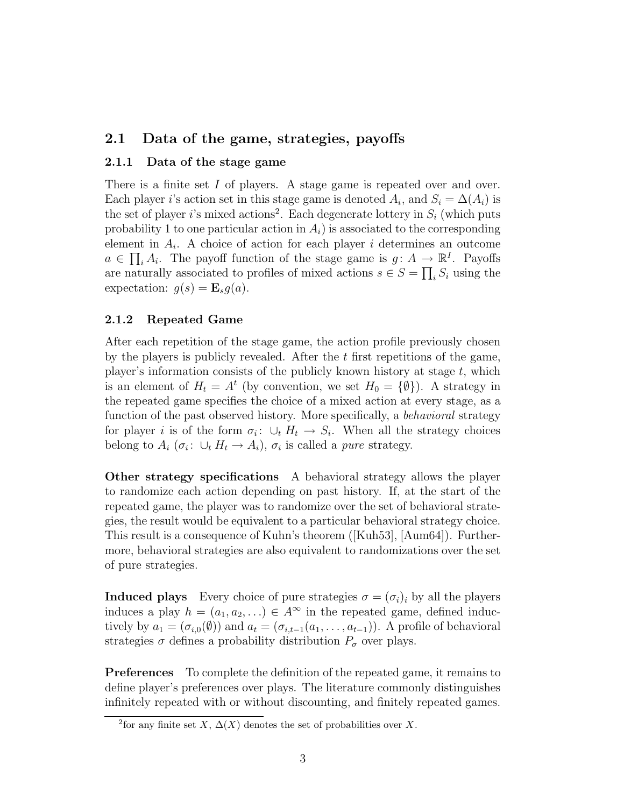## 2.1 Data of the game, strategies, payoffs

#### 2.1.1 Data of the stage game

There is a finite set I of players. A stage game is repeated over and over. Each player *i*'s action set in this stage game is denoted  $A_i$ , and  $S_i = \Delta(A_i)$  is the set of player *i*'s mixed actions<sup>2</sup>. Each degenerate lottery in  $S_i$  (which puts probability 1 to one particular action in  $A_i$ ) is associated to the corresponding element in  $A_i$ . A choice of action for each player i determines an outcome  $a \in \prod_i A_i$ . The payoff function of the stage game is  $g: A \to \mathbb{R}^I$ . Payoffs are naturally associated to profiles of mixed actions  $s \in S = \prod_i S_i$  using the expectation:  $g(s) = \mathbf{E}_s g(a)$ .

#### 2.1.2 Repeated Game

After each repetition of the stage game, the action profile previously chosen by the players is publicly revealed. After the  $t$  first repetitions of the game, player's information consists of the publicly known history at stage  $t$ , which is an element of  $H_t = A^t$  (by convention, we set  $H_0 = \{\emptyset\}$ ). A strategy in the repeated game specifies the choice of a mixed action at every stage, as a function of the past observed history. More specifically, a behavioral strategy for player *i* is of the form  $\sigma_i: \cup_t H_t \to S_i$ . When all the strategy choices belong to  $A_i$  ( $\sigma_i: \cup_t H_t \to A_i$ ),  $\sigma_i$  is called a *pure* strategy.

Other strategy specifications A behavioral strategy allows the player to randomize each action depending on past history. If, at the start of the repeated game, the player was to randomize over the set of behavioral strategies, the result would be equivalent to a particular behavioral strategy choice. This result is a consequence of Kuhn's theorem ([Kuh53], [Aum64]). Furthermore, behavioral strategies are also equivalent to randomizations over the set of pure strategies.

**Induced plays** Every choice of pure strategies  $\sigma = (\sigma_i)_i$  by all the players induces a play  $h = (a_1, a_2, \ldots) \in A^{\infty}$  in the repeated game, defined inductively by  $a_1 = (\sigma_{i,0}(\emptyset))$  and  $a_t = (\sigma_{i,t-1}(a_1, \ldots, a_{t-1}))$ . A profile of behavioral strategies  $\sigma$  defines a probability distribution  $P_{\sigma}$  over plays.

Preferences To complete the definition of the repeated game, it remains to define player's preferences over plays. The literature commonly distinguishes infinitely repeated with or without discounting, and finitely repeated games.

<sup>&</sup>lt;sup>2</sup>for any finite set X,  $\Delta(X)$  denotes the set of probabilities over X.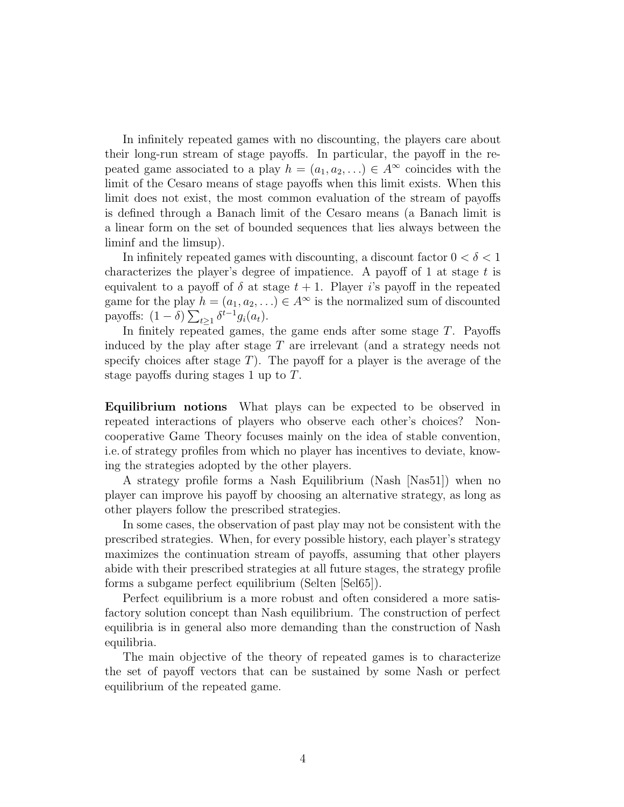In infinitely repeated games with no discounting, the players care about their long-run stream of stage payoffs. In particular, the payoff in the repeated game associated to a play  $h = (a_1, a_2, \ldots) \in A^{\infty}$  coincides with the limit of the Cesaro means of stage payoffs when this limit exists. When this limit does not exist, the most common evaluation of the stream of payoffs is defined through a Banach limit of the Cesaro means (a Banach limit is a linear form on the set of bounded sequences that lies always between the liminf and the limsup).

In infinitely repeated games with discounting, a discount factor  $0 < \delta < 1$ characterizes the player's degree of impatience. A payoff of 1 at stage  $t$  is equivalent to a payoff of  $\delta$  at stage  $t + 1$ . Player is payoff in the repeated game for the play  $h = (a_1, a_2, \ldots) \in A^{\infty}$  is the normalized sum of discounted payoffs:  $(1 - \delta) \sum_{t \geq 1} \delta^{t-1} g_i(a_t)$ .

In finitely repeated games, the game ends after some stage  $T$ . Payoffs induced by the play after stage T are irrelevant (and a strategy needs not specify choices after stage  $T$ ). The payoff for a player is the average of the stage payoffs during stages 1 up to T.

Equilibrium notions What plays can be expected to be observed in repeated interactions of players who observe each other's choices? Noncooperative Game Theory focuses mainly on the idea of stable convention, i.e. of strategy profiles from which no player has incentives to deviate, knowing the strategies adopted by the other players.

A strategy profile forms a Nash Equilibrium (Nash [Nas51]) when no player can improve his payoff by choosing an alternative strategy, as long as other players follow the prescribed strategies.

In some cases, the observation of past play may not be consistent with the prescribed strategies. When, for every possible history, each player's strategy maximizes the continuation stream of payoffs, assuming that other players abide with their prescribed strategies at all future stages, the strategy profile forms a subgame perfect equilibrium (Selten [Sel65]).

Perfect equilibrium is a more robust and often considered a more satisfactory solution concept than Nash equilibrium. The construction of perfect equilibria is in general also more demanding than the construction of Nash equilibria.

The main objective of the theory of repeated games is to characterize the set of payoff vectors that can be sustained by some Nash or perfect equilibrium of the repeated game.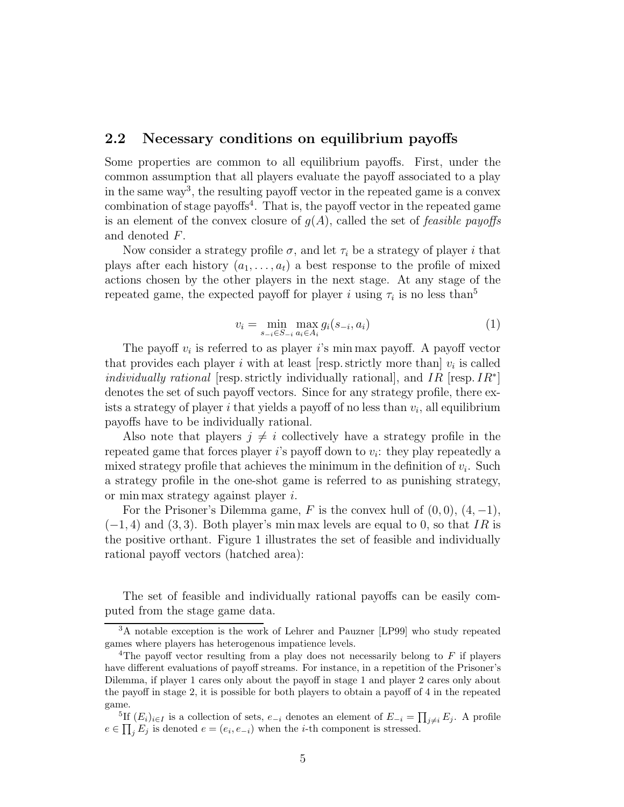## 2.2 Necessary conditions on equilibrium payoffs

Some properties are common to all equilibrium payoffs. First, under the common assumption that all players evaluate the payoff associated to a play in the same way<sup>3</sup> , the resulting payoff vector in the repeated game is a convex combination of stage payoffs<sup>4</sup>. That is, the payoff vector in the repeated game is an element of the convex closure of  $g(A)$ , called the set of *feasible payoffs* and denoted F.

Now consider a strategy profile  $\sigma$ , and let  $\tau_i$  be a strategy of player i that plays after each history  $(a_1, \ldots, a_t)$  a best response to the profile of mixed actions chosen by the other players in the next stage. At any stage of the repeated game, the expected payoff for player i using  $\tau_i$  is no less than<sup>5</sup>

$$
v_i = \min_{s_{-i} \in S_{-i}} \max_{a_i \in A_i} g_i(s_{-i}, a_i)
$$
 (1)

The payoff  $v_i$  is referred to as player i's min max payoff. A payoff vector that provides each player  $i$  with at least [resp. strictly more than]  $v_i$  is called individually rational [resp. strictly individually rational], and IR [resp.  $IR^*$ ] denotes the set of such payoff vectors. Since for any strategy profile, there exists a strategy of player i that yields a payoff of no less than  $v_i$ , all equilibrium payoffs have to be individually rational.

Also note that players  $j \neq i$  collectively have a strategy profile in the repeated game that forces player *i*'s payoff down to  $v_i$ : they play repeatedly a mixed strategy profile that achieves the minimum in the definition of  $v_i$ . Such a strategy profile in the one-shot game is referred to as punishing strategy, or min max strategy against player i.

For the Prisoner's Dilemma game, F is the convex hull of  $(0,0)$ ,  $(4,-1)$ ,  $(-1, 4)$  and  $(3, 3)$ . Both player's min max levels are equal to 0, so that IR is the positive orthant. Figure 1 illustrates the set of feasible and individually rational payoff vectors (hatched area):

The set of feasible and individually rational payoffs can be easily computed from the stage game data.

<sup>3</sup>A notable exception is the work of Lehrer and Pauzner [LP99] who study repeated games where players has heterogenous impatience levels.

<sup>&</sup>lt;sup>4</sup>The payoff vector resulting from a play does not necessarily belong to  $F$  if players have different evaluations of payoff streams. For instance, in a repetition of the Prisoner's Dilemma, if player 1 cares only about the payoff in stage 1 and player 2 cares only about the payoff in stage 2, it is possible for both players to obtain a payoff of 4 in the repeated game.

<sup>&</sup>lt;sup>5</sup>If  $(E_i)_{i\in I}$  is a collection of sets,  $e_{-i}$  denotes an element of  $E_{-i} = \prod_{j\neq i} E_j$ . A profile  $e \in \prod_j E_j$  is denoted  $e = (e_i, e_{-i})$  when the *i*-th component is stressed.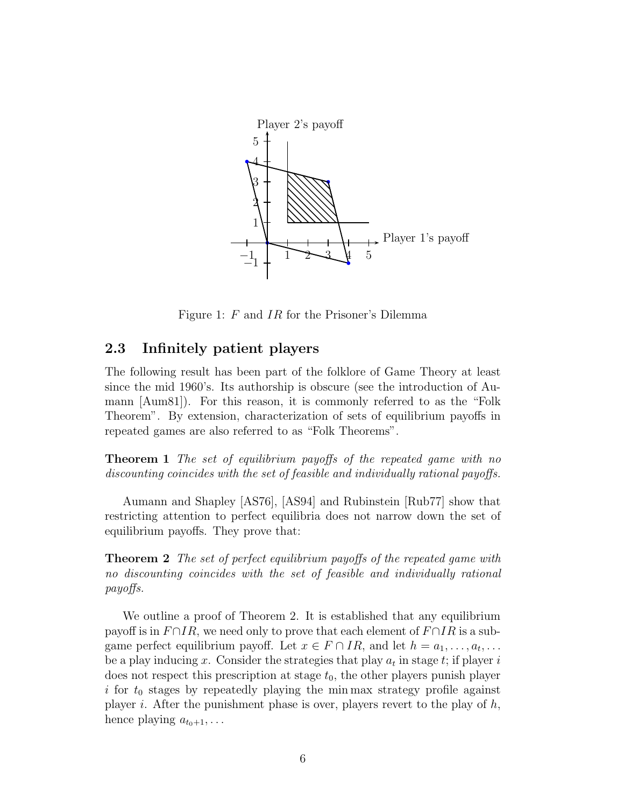

Figure 1: F and IR for the Prisoner's Dilemma

## 2.3 Infinitely patient players

The following result has been part of the folklore of Game Theory at least since the mid 1960's. Its authorship is obscure (see the introduction of Aumann [Aum81]). For this reason, it is commonly referred to as the "Folk Theorem". By extension, characterization of sets of equilibrium payoffs in repeated games are also referred to as "Folk Theorems".

**Theorem 1** The set of equilibrium payoffs of the repeated game with no discounting coincides with the set of feasible and individually rational payoffs.

Aumann and Shapley [AS76], [AS94] and Rubinstein [Rub77] show that restricting attention to perfect equilibria does not narrow down the set of equilibrium payoffs. They prove that:

**Theorem 2** The set of perfect equilibrium payoffs of the repeated game with no discounting coincides with the set of feasible and individually rational payoffs.

We outline a proof of Theorem 2. It is established that any equilibrium payoff is in  $F \cap IR$ , we need only to prove that each element of  $F \cap IR$  is a subgame perfect equilibrium payoff. Let  $x \in F \cap IR$ , and let  $h = a_1, \ldots, a_t, \ldots$ be a play inducing x. Consider the strategies that play  $a_t$  in stage t; if player i does not respect this prescription at stage  $t_0$ , the other players punish player i for  $t_0$  stages by repeatedly playing the min max strategy profile against player *i*. After the punishment phase is over, players revert to the play of  $h$ , hence playing  $a_{t_0+1}, \ldots$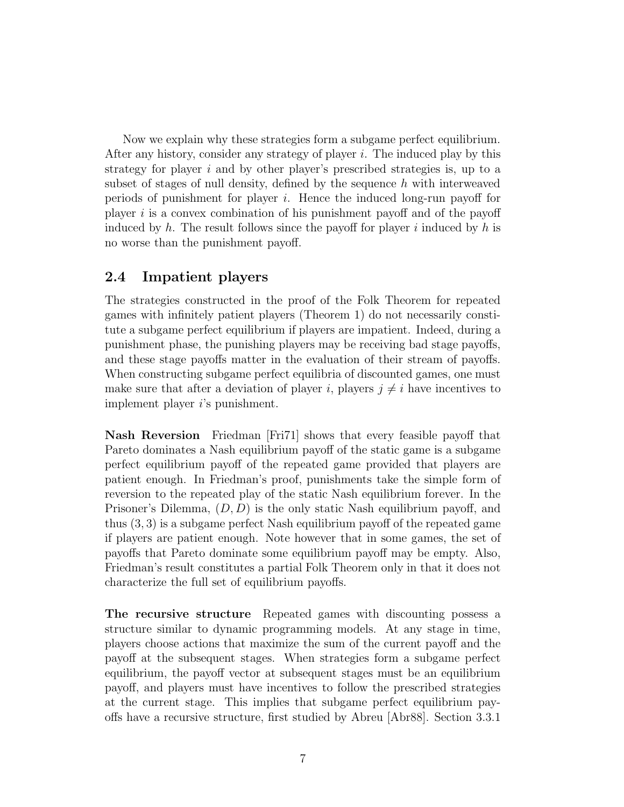Now we explain why these strategies form a subgame perfect equilibrium. After any history, consider any strategy of player i. The induced play by this strategy for player  $i$  and by other player's prescribed strategies is, up to a subset of stages of null density, defined by the sequence  $h$  with interweaved periods of punishment for player i. Hence the induced long-run payoff for player  $i$  is a convex combination of his punishment payoff and of the payoff induced by h. The result follows since the payoff for player i induced by h is no worse than the punishment payoff.

## 2.4 Impatient players

The strategies constructed in the proof of the Folk Theorem for repeated games with infinitely patient players (Theorem 1) do not necessarily constitute a subgame perfect equilibrium if players are impatient. Indeed, during a punishment phase, the punishing players may be receiving bad stage payoffs, and these stage payoffs matter in the evaluation of their stream of payoffs. When constructing subgame perfect equilibria of discounted games, one must make sure that after a deviation of player i, players  $j \neq i$  have incentives to implement player i's punishment.

Nash Reversion Friedman [Fri71] shows that every feasible payoff that Pareto dominates a Nash equilibrium payoff of the static game is a subgame perfect equilibrium payoff of the repeated game provided that players are patient enough. In Friedman's proof, punishments take the simple form of reversion to the repeated play of the static Nash equilibrium forever. In the Prisoner's Dilemma,  $(D, D)$  is the only static Nash equilibrium payoff, and thus (3, 3) is a subgame perfect Nash equilibrium payoff of the repeated game if players are patient enough. Note however that in some games, the set of payoffs that Pareto dominate some equilibrium payoff may be empty. Also, Friedman's result constitutes a partial Folk Theorem only in that it does not characterize the full set of equilibrium payoffs.

The recursive structure Repeated games with discounting possess a structure similar to dynamic programming models. At any stage in time, players choose actions that maximize the sum of the current payoff and the payoff at the subsequent stages. When strategies form a subgame perfect equilibrium, the payoff vector at subsequent stages must be an equilibrium payoff, and players must have incentives to follow the prescribed strategies at the current stage. This implies that subgame perfect equilibrium payoffs have a recursive structure, first studied by Abreu [Abr88]. Section 3.3.1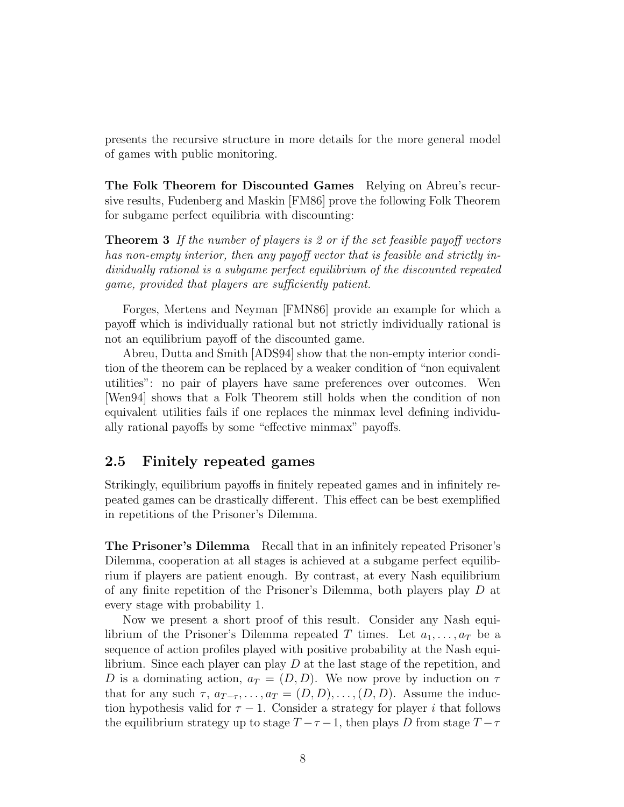presents the recursive structure in more details for the more general model of games with public monitoring.

The Folk Theorem for Discounted Games Relying on Abreu's recursive results, Fudenberg and Maskin [FM86] prove the following Folk Theorem for subgame perfect equilibria with discounting:

**Theorem 3** If the number of players is 2 or if the set feasible payoff vectors has non-empty interior, then any payoff vector that is feasible and strictly individually rational is a subgame perfect equilibrium of the discounted repeated game, provided that players are sufficiently patient.

Forges, Mertens and Neyman [FMN86] provide an example for which a payoff which is individually rational but not strictly individually rational is not an equilibrium payoff of the discounted game.

Abreu, Dutta and Smith [ADS94] show that the non-empty interior condition of the theorem can be replaced by a weaker condition of "non equivalent utilities": no pair of players have same preferences over outcomes. Wen [Wen94] shows that a Folk Theorem still holds when the condition of non equivalent utilities fails if one replaces the minmax level defining individually rational payoffs by some "effective minmax" payoffs.

## 2.5 Finitely repeated games

Strikingly, equilibrium payoffs in finitely repeated games and in infinitely repeated games can be drastically different. This effect can be best exemplified in repetitions of the Prisoner's Dilemma.

The Prisoner's Dilemma Recall that in an infinitely repeated Prisoner's Dilemma, cooperation at all stages is achieved at a subgame perfect equilibrium if players are patient enough. By contrast, at every Nash equilibrium of any finite repetition of the Prisoner's Dilemma, both players play D at every stage with probability 1.

Now we present a short proof of this result. Consider any Nash equilibrium of the Prisoner's Dilemma repeated T times. Let  $a_1, \ldots, a_T$  be a sequence of action profiles played with positive probability at the Nash equilibrium. Since each player can play  $D$  at the last stage of the repetition, and D is a dominating action,  $a_T = (D, D)$ . We now prove by induction on  $\tau$ that for any such  $\tau$ ,  $a_{T-\tau}$ , ...,  $a_T = (D, D)$ , ...,  $(D, D)$ . Assume the induction hypothesis valid for  $\tau - 1$ . Consider a strategy for player i that follows the equilibrium strategy up to stage  $T - \tau - 1$ , then plays D from stage  $T - \tau$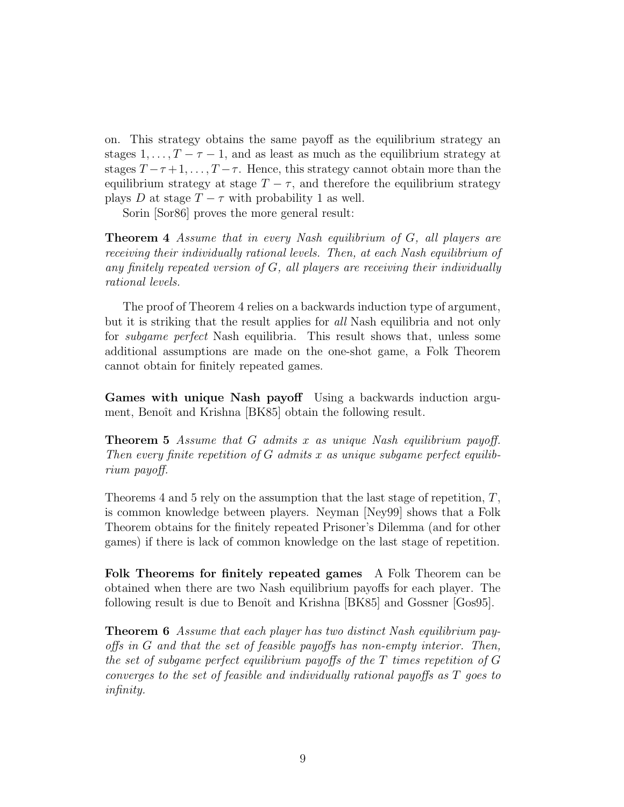on. This strategy obtains the same payoff as the equilibrium strategy an stages  $1, \ldots, T - \tau - 1$ , and as least as much as the equilibrium strategy at stages  $T - \tau + 1, \ldots, T - \tau$ . Hence, this strategy cannot obtain more than the equilibrium strategy at stage  $T - \tau$ , and therefore the equilibrium strategy plays D at stage  $T - \tau$  with probability 1 as well.

Sorin [Sor86] proves the more general result:

**Theorem 4** Assume that in every Nash equilibrium of G, all players are receiving their individually rational levels. Then, at each Nash equilibrium of any finitely repeated version of G, all players are receiving their individually rational levels.

The proof of Theorem 4 relies on a backwards induction type of argument, but it is striking that the result applies for all Nash equilibria and not only for subgame perfect Nash equilibria. This result shows that, unless some additional assumptions are made on the one-shot game, a Folk Theorem cannot obtain for finitely repeated games.

Games with unique Nash payoff Using a backwards induction argument, Benoît and Krishna [BK85] obtain the following result.

**Theorem 5** Assume that  $G$  admits x as unique Nash equilibrium payoff. Then every finite repetition of  $G$  admits x as unique subgame perfect equilibrium payoff.

Theorems 4 and 5 rely on the assumption that the last stage of repetition,  $T$ , is common knowledge between players. Neyman [Ney99] shows that a Folk Theorem obtains for the finitely repeated Prisoner's Dilemma (and for other games) if there is lack of common knowledge on the last stage of repetition.

Folk Theorems for finitely repeated games A Folk Theorem can be obtained when there are two Nash equilibrium payoffs for each player. The following result is due to Benoît and Krishna  $|BK85|$  and Gossner  $|G$ os $95|$ .

Theorem 6 Assume that each player has two distinct Nash equilibrium payoffs in G and that the set of feasible payoffs has non-empty interior. Then, the set of subgame perfect equilibrium payoffs of the T times repetition of G converges to the set of feasible and individually rational payoffs as T goes to infinity.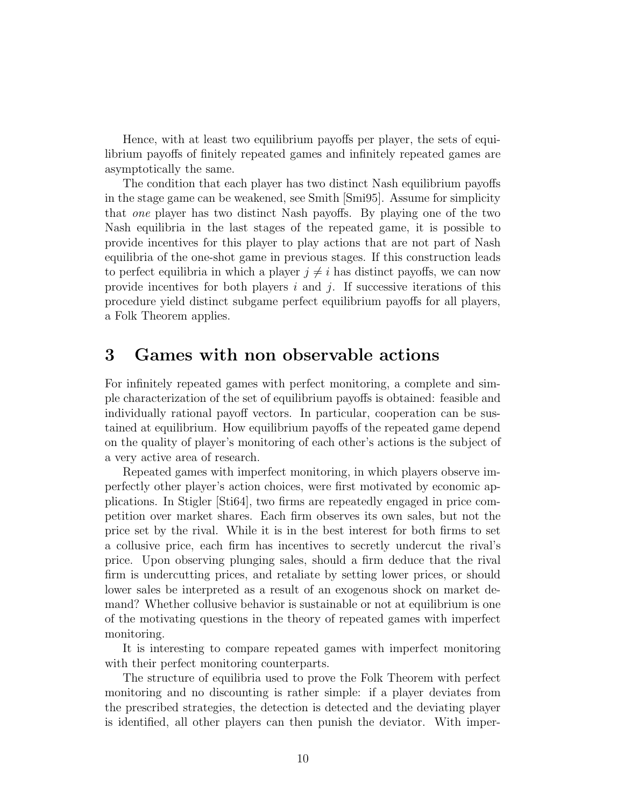Hence, with at least two equilibrium payoffs per player, the sets of equilibrium payoffs of finitely repeated games and infinitely repeated games are asymptotically the same.

The condition that each player has two distinct Nash equilibrium payoffs in the stage game can be weakened, see Smith [Smi95]. Assume for simplicity that one player has two distinct Nash payoffs. By playing one of the two Nash equilibria in the last stages of the repeated game, it is possible to provide incentives for this player to play actions that are not part of Nash equilibria of the one-shot game in previous stages. If this construction leads to perfect equilibria in which a player  $j \neq i$  has distinct payoffs, we can now provide incentives for both players  $i$  and  $j$ . If successive iterations of this procedure yield distinct subgame perfect equilibrium payoffs for all players, a Folk Theorem applies.

## 3 Games with non observable actions

For infinitely repeated games with perfect monitoring, a complete and simple characterization of the set of equilibrium payoffs is obtained: feasible and individually rational payoff vectors. In particular, cooperation can be sustained at equilibrium. How equilibrium payoffs of the repeated game depend on the quality of player's monitoring of each other's actions is the subject of a very active area of research.

Repeated games with imperfect monitoring, in which players observe imperfectly other player's action choices, were first motivated by economic applications. In Stigler [Sti64], two firms are repeatedly engaged in price competition over market shares. Each firm observes its own sales, but not the price set by the rival. While it is in the best interest for both firms to set a collusive price, each firm has incentives to secretly undercut the rival's price. Upon observing plunging sales, should a firm deduce that the rival firm is undercutting prices, and retaliate by setting lower prices, or should lower sales be interpreted as a result of an exogenous shock on market demand? Whether collusive behavior is sustainable or not at equilibrium is one of the motivating questions in the theory of repeated games with imperfect monitoring.

It is interesting to compare repeated games with imperfect monitoring with their perfect monitoring counterparts.

The structure of equilibria used to prove the Folk Theorem with perfect monitoring and no discounting is rather simple: if a player deviates from the prescribed strategies, the detection is detected and the deviating player is identified, all other players can then punish the deviator. With imper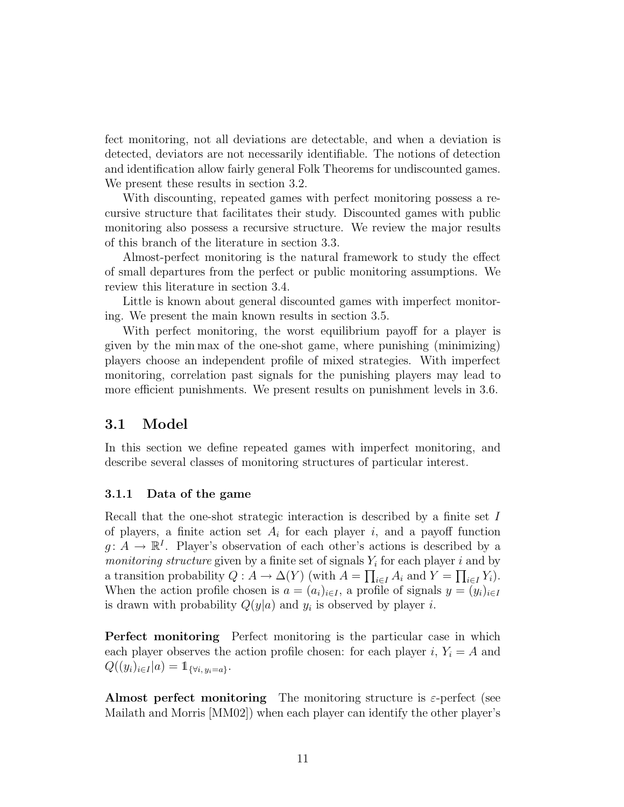fect monitoring, not all deviations are detectable, and when a deviation is detected, deviators are not necessarily identifiable. The notions of detection and identification allow fairly general Folk Theorems for undiscounted games. We present these results in section 3.2.

With discounting, repeated games with perfect monitoring possess a recursive structure that facilitates their study. Discounted games with public monitoring also possess a recursive structure. We review the major results of this branch of the literature in section 3.3.

Almost-perfect monitoring is the natural framework to study the effect of small departures from the perfect or public monitoring assumptions. We review this literature in section 3.4.

Little is known about general discounted games with imperfect monitoring. We present the main known results in section 3.5.

With perfect monitoring, the worst equilibrium payoff for a player is given by the min max of the one-shot game, where punishing (minimizing) players choose an independent profile of mixed strategies. With imperfect monitoring, correlation past signals for the punishing players may lead to more efficient punishments. We present results on punishment levels in 3.6.

### 3.1 Model

In this section we define repeated games with imperfect monitoring, and describe several classes of monitoring structures of particular interest.

#### 3.1.1 Data of the game

Recall that the one-shot strategic interaction is described by a finite set I of players, a finite action set  $A_i$  for each player i, and a payoff function  $g: A \to \mathbb{R}^I$ . Player's observation of each other's actions is described by a monitoring structure given by a finite set of signals  $Y_i$  for each player i and by a transition probability  $Q: A \to \Delta(Y)$  (with  $A = \prod_{i \in I} A_i$  and  $Y = \prod_{i \in I} Y_i$ ). When the action profile chosen is  $a = (a_i)_{i \in I}$ , a profile of signals  $y = (y_i)_{i \in I}$ is drawn with probability  $Q(y|a)$  and  $y_i$  is observed by player *i*.

**Perfect monitoring** Perfect monitoring is the particular case in which each player observes the action profile chosen: for each player  $i, Y_i = A$  and  $Q((y_i)_{i\in I} | a) = 1_{\{\forall i, y_i = a\}}.$ 

**Almost perfect monitoring** The monitoring structure is  $\varepsilon$ -perfect (see Mailath and Morris [MM02]) when each player can identify the other player's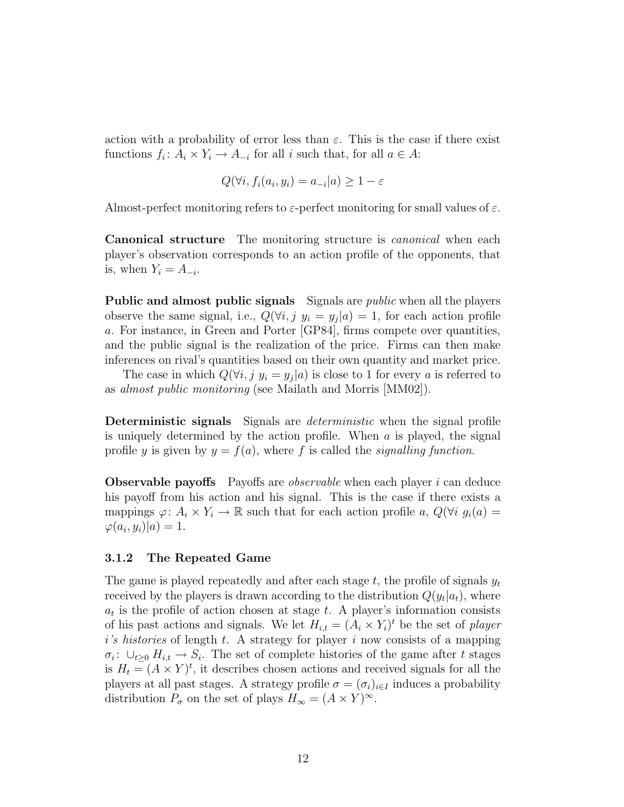action with a probability of error less than  $\varepsilon$ . This is the case if there exist functions  $f_i: A_i \times Y_i \to A_{-i}$  for all i such that, for all  $a \in A$ :

$$
Q(\forall i, f_i(a_i, y_i) = a_{-i}|a) \ge 1 - \varepsilon
$$

Almost-perfect monitoring refers to  $\varepsilon$ -perfect monitoring for small values of  $\varepsilon$ .

Canonical structure The monitoring structure is *canonical* when each player's observation corresponds to an action profile of the opponents, that is, when  $Y_i = A_{-i}$ .

Public and almost public signals Signals are *public* when all the players observe the same signal, i.e.,  $Q(\forall i, j \, y_i = y_j | a) = 1$ , for each action profile a. For instance, in Green and Porter [GP84], firms compete over quantities, and the public signal is the realization of the price. Firms can then make inferences on rival's quantities based on their own quantity and market price.

The case in which  $Q(\forall i, j \ y_i = y_j | a)$  is close to 1 for every a is referred to as almost public monitoring (see Mailath and Morris [MM02]).

**Deterministic signals** Signals are *deterministic* when the signal profile is uniquely determined by the action profile. When  $a$  is played, the signal profile y is given by  $y = f(a)$ , where f is called the *signalling function*.

**Observable payoffs** Payoffs are *observable* when each player *i* can deduce his payoff from his action and his signal. This is the case if there exists a mappings  $\varphi: A_i \times Y_i \to \mathbb{R}$  such that for each action profile a,  $Q(\forall i \ g_i(a))$  $\varphi(a_i, y_i)|a) = 1.$ 

#### 3.1.2 The Repeated Game

The game is played repeatedly and after each stage t, the profile of signals  $y_t$ received by the players is drawn according to the distribution  $Q(y_t|a_t)$ , where  $a_t$  is the profile of action chosen at stage t. A player's information consists of his past actions and signals. We let  $H_{i,t} = (A_i \times Y_i)^t$  be the set of player  $i$ 's histories of length t. A strategy for player i now consists of a mapping  $\sigma_i: \cup_{t>0} H_{i,t} \to S_i$ . The set of complete histories of the game after t stages is  $H_t = (A \times Y)^t$ , it describes chosen actions and received signals for all the players at all past stages. A strategy profile  $\sigma = (\sigma_i)_{i \in I}$  induces a probability distribution  $P_{\sigma}$  on the set of plays  $H_{\infty} = (A \times Y)^{\infty}$ .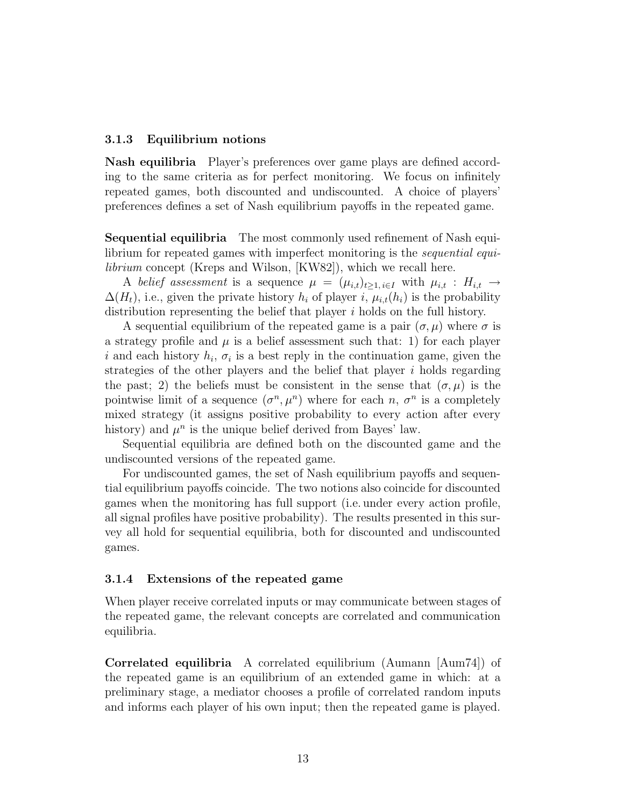#### 3.1.3 Equilibrium notions

Nash equilibria Player's preferences over game plays are defined according to the same criteria as for perfect monitoring. We focus on infinitely repeated games, both discounted and undiscounted. A choice of players' preferences defines a set of Nash equilibrium payoffs in the repeated game.

Sequential equilibria The most commonly used refinement of Nash equilibrium for repeated games with imperfect monitoring is the *sequential equi*librium concept (Kreps and Wilson, [KW82]), which we recall here.

A belief assessment is a sequence  $\mu = (\mu_{i,t})_{t \geq 1, i \in I}$  with  $\mu_{i,t} : H_{i,t} \rightarrow$  $\Delta(H_t)$ , i.e., given the private history  $h_i$  of player i,  $\mu_{i,t}(h_i)$  is the probability distribution representing the belief that player i holds on the full history.

A sequential equilibrium of the repeated game is a pair  $(\sigma, \mu)$  where  $\sigma$  is a strategy profile and  $\mu$  is a belief assessment such that: 1) for each player i and each history  $h_i$ ,  $\sigma_i$  is a best reply in the continuation game, given the strategies of the other players and the belief that player  $i$  holds regarding the past; 2) the beliefs must be consistent in the sense that  $(\sigma, \mu)$  is the pointwise limit of a sequence  $(\sigma^n, \mu^n)$  where for each n,  $\sigma^n$  is a completely mixed strategy (it assigns positive probability to every action after every history) and  $\mu^n$  is the unique belief derived from Bayes' law.

Sequential equilibria are defined both on the discounted game and the undiscounted versions of the repeated game.

For undiscounted games, the set of Nash equilibrium payoffs and sequential equilibrium payoffs coincide. The two notions also coincide for discounted games when the monitoring has full support (i.e. under every action profile, all signal profiles have positive probability). The results presented in this survey all hold for sequential equilibria, both for discounted and undiscounted games.

#### 3.1.4 Extensions of the repeated game

When player receive correlated inputs or may communicate between stages of the repeated game, the relevant concepts are correlated and communication equilibria.

Correlated equilibria A correlated equilibrium (Aumann [Aum74]) of the repeated game is an equilibrium of an extended game in which: at a preliminary stage, a mediator chooses a profile of correlated random inputs and informs each player of his own input; then the repeated game is played.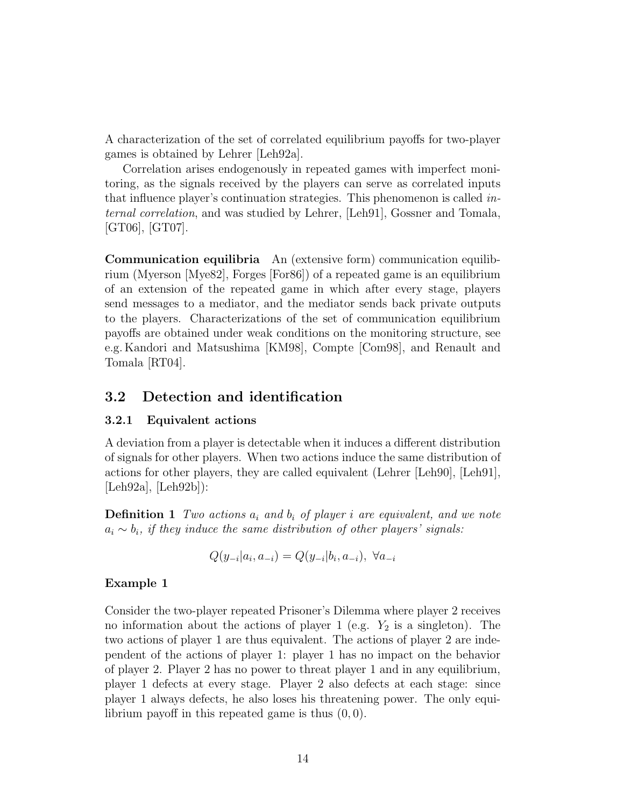A characterization of the set of correlated equilibrium payoffs for two-player games is obtained by Lehrer [Leh92a].

Correlation arises endogenously in repeated games with imperfect monitoring, as the signals received by the players can serve as correlated inputs that influence player's continuation strategies. This phenomenon is called internal correlation, and was studied by Lehrer, [Leh91], Gossner and Tomala, [GT06], [GT07].

Communication equilibria An (extensive form) communication equilibrium (Myerson [Mye82], Forges [For86]) of a repeated game is an equilibrium of an extension of the repeated game in which after every stage, players send messages to a mediator, and the mediator sends back private outputs to the players. Characterizations of the set of communication equilibrium payoffs are obtained under weak conditions on the monitoring structure, see e.g. Kandori and Matsushima [KM98], Compte [Com98], and Renault and Tomala [RT04].

## 3.2 Detection and identification

#### 3.2.1 Equivalent actions

A deviation from a player is detectable when it induces a different distribution of signals for other players. When two actions induce the same distribution of actions for other players, they are called equivalent (Lehrer [Leh90], [Leh91], [Leh92a], [Leh92b]):

**Definition 1** Two actions  $a_i$  and  $b_i$  of player i are equivalent, and we note  $a_i \sim b_i$ , if they induce the same distribution of other players' signals:

$$
Q(y_{-i}|a_i, a_{-i}) = Q(y_{-i}|b_i, a_{-i}), \ \forall a_{-i}
$$

#### Example 1

Consider the two-player repeated Prisoner's Dilemma where player 2 receives no information about the actions of player 1 (e.g.  $Y_2$  is a singleton). The two actions of player 1 are thus equivalent. The actions of player 2 are independent of the actions of player 1: player 1 has no impact on the behavior of player 2. Player 2 has no power to threat player 1 and in any equilibrium, player 1 defects at every stage. Player 2 also defects at each stage: since player 1 always defects, he also loses his threatening power. The only equilibrium payoff in this repeated game is thus  $(0, 0)$ .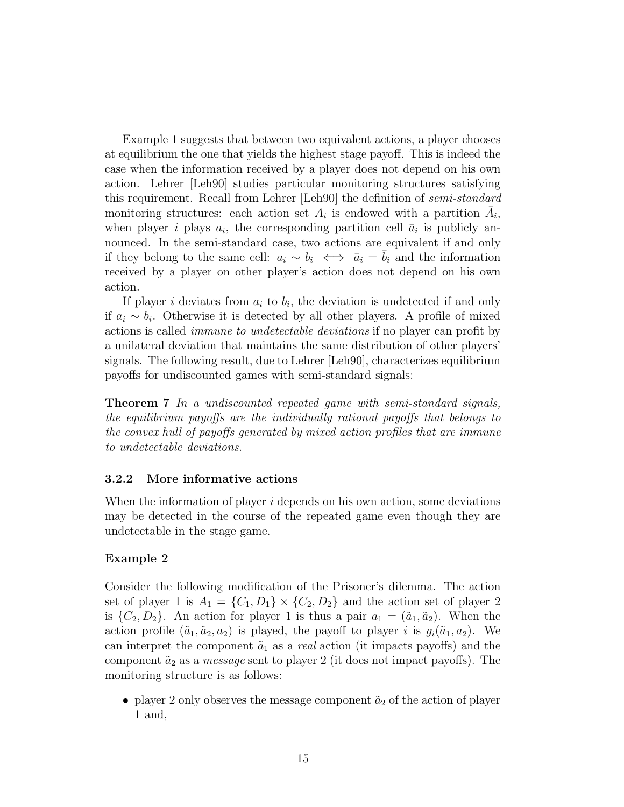Example 1 suggests that between two equivalent actions, a player chooses at equilibrium the one that yields the highest stage payoff. This is indeed the case when the information received by a player does not depend on his own action. Lehrer [Leh90] studies particular monitoring structures satisfying this requirement. Recall from Lehrer [Leh90] the definition of semi-standard monitoring structures: each action set  $A_i$  is endowed with a partition  $\overline{A}_i$ , when player *i* plays  $a_i$ , the corresponding partition cell  $\bar{a}_i$  is publicly announced. In the semi-standard case, two actions are equivalent if and only if they belong to the same cell:  $a_i \sim b_i \iff \bar{a}_i = b_i$  and the information received by a player on other player's action does not depend on his own action.

If player *i* deviates from  $a_i$  to  $b_i$ , the deviation is undetected if and only if  $a_i \sim b_i$ . Otherwise it is detected by all other players. A profile of mixed actions is called immune to undetectable deviations if no player can profit by a unilateral deviation that maintains the same distribution of other players' signals. The following result, due to Lehrer [Leh90], characterizes equilibrium payoffs for undiscounted games with semi-standard signals:

Theorem 7 In a undiscounted repeated game with semi-standard signals, the equilibrium payoffs are the individually rational payoffs that belongs to the convex hull of payoffs generated by mixed action profiles that are immune to undetectable deviations.

#### 3.2.2 More informative actions

When the information of player  $i$  depends on his own action, some deviations may be detected in the course of the repeated game even though they are undetectable in the stage game.

#### Example 2

Consider the following modification of the Prisoner's dilemma. The action set of player 1 is  $A_1 = \{C_1, D_1\} \times \{C_2, D_2\}$  and the action set of player 2 is  $\{C_2, D_2\}$ . An action for player 1 is thus a pair  $a_1 = (\tilde{a}_1, \tilde{a}_2)$ . When the action profile  $(\tilde{a}_1, \tilde{a}_2, a_2)$  is played, the payoff to player i is  $g_i(\tilde{a}_1, a_2)$ . We can interpret the component  $\tilde{a}_1$  as a *real* action (it impacts payoffs) and the component  $\tilde{a}_2$  as a *message* sent to player 2 (it does not impact payoffs). The monitoring structure is as follows:

• player 2 only observes the message component  $\tilde{a}_2$  of the action of player 1 and,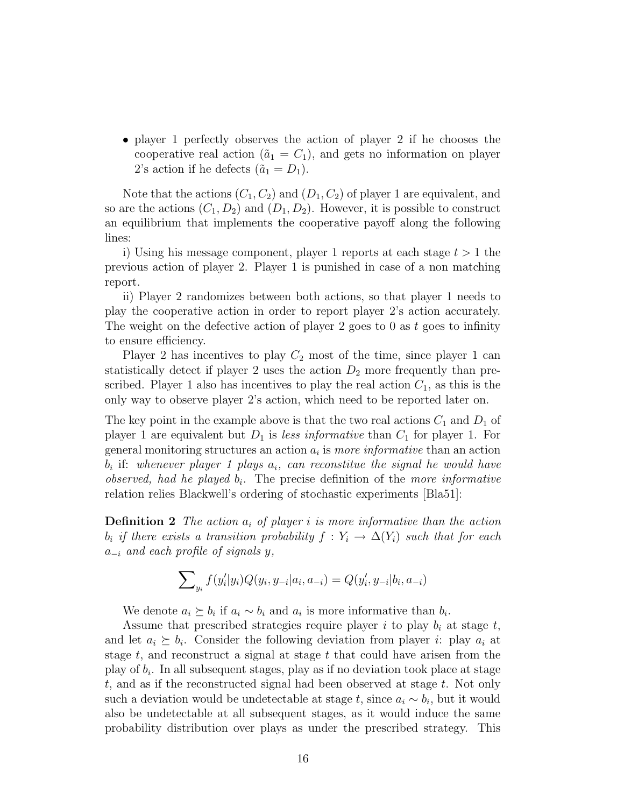• player 1 perfectly observes the action of player 2 if he chooses the cooperative real action ( $\tilde{a}_1 = C_1$ ), and gets no information on player 2's action if he defects  $(\tilde{a}_1 = D_1)$ .

Note that the actions  $(C_1, C_2)$  and  $(D_1, C_2)$  of player 1 are equivalent, and so are the actions  $(C_1, D_2)$  and  $(D_1, D_2)$ . However, it is possible to construct an equilibrium that implements the cooperative payoff along the following lines:

i) Using his message component, player 1 reports at each stage  $t > 1$  the previous action of player 2. Player 1 is punished in case of a non matching report.

ii) Player 2 randomizes between both actions, so that player 1 needs to play the cooperative action in order to report player 2's action accurately. The weight on the defective action of player 2 goes to 0 as t goes to infinity to ensure efficiency.

Player 2 has incentives to play  $C_2$  most of the time, since player 1 can statistically detect if player 2 uses the action  $D_2$  more frequently than prescribed. Player 1 also has incentives to play the real action  $C_1$ , as this is the only way to observe player 2's action, which need to be reported later on.

The key point in the example above is that the two real actions  $C_1$  and  $D_1$  of player 1 are equivalent but  $D_1$  is less informative than  $C_1$  for player 1. For general monitoring structures an action  $a_i$  is *more informative* than an action  $b_i$  if: whenever player 1 plays  $a_i$ , can reconstitue the signal he would have observed, had he played  $b_i$ . The precise definition of the more informative relation relies Blackwell's ordering of stochastic experiments [Bla51]:

**Definition 2** The action  $a_i$  of player i is more informative than the action  $b_i$  if there exists a transition probability  $f: Y_i \to \Delta(Y_i)$  such that for each  $a_{-i}$  and each profile of signals y,

$$
\sum_{y_i} f(y'_i|y_i) Q(y_i, y_{-i}|a_i, a_{-i}) = Q(y'_i, y_{-i}|b_i, a_{-i})
$$

We denote  $a_i \succeq b_i$  if  $a_i \sim b_i$  and  $a_i$  is more informative than  $b_i$ .

Assume that prescribed strategies require player i to play  $b_i$  at stage t, and let  $a_i \succeq b_i$ . Consider the following deviation from player *i*: play  $a_i$  at stage  $t$ , and reconstruct a signal at stage  $t$  that could have arisen from the play of  $b_i$ . In all subsequent stages, play as if no deviation took place at stage  $t$ , and as if the reconstructed signal had been observed at stage  $t$ . Not only such a deviation would be undetectable at stage  $t$ , since  $a_i \sim b_i$ , but it would also be undetectable at all subsequent stages, as it would induce the same probability distribution over plays as under the prescribed strategy. This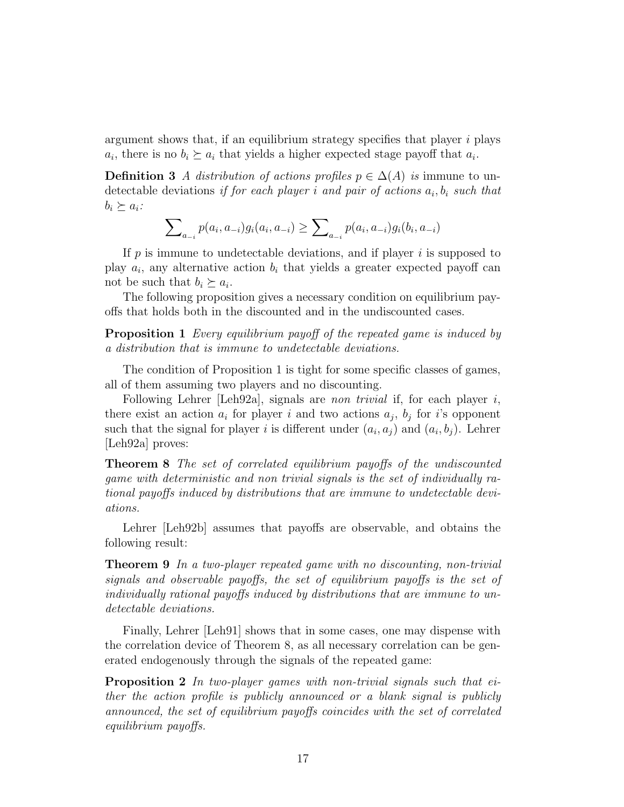argument shows that, if an equilibrium strategy specifies that player  $i$  plays  $a_i$ , there is no  $b_i \succeq a_i$  that yields a higher expected stage payoff that  $a_i$ .

**Definition 3** A distribution of actions profiles  $p \in \Delta(A)$  is immune to undetectable deviations if for each player i and pair of actions  $a_i, b_i$  such that  $b_i \succeq a_i$ :

$$
\sum_{a_{-i}} p(a_i, a_{-i}) g_i(a_i, a_{-i}) \ge \sum_{a_{-i}} p(a_i, a_{-i}) g_i(b_i, a_{-i})
$$

If  $p$  is immune to undetectable deviations, and if player  $i$  is supposed to play  $a_i$ , any alternative action  $b_i$  that yields a greater expected payoff can not be such that  $b_i \succeq a_i$ .

The following proposition gives a necessary condition on equilibrium payoffs that holds both in the discounted and in the undiscounted cases.

**Proposition 1** Every equilibrium payoff of the repeated game is induced by a distribution that is immune to undetectable deviations.

The condition of Proposition 1 is tight for some specific classes of games, all of them assuming two players and no discounting.

Following Lehrer [Leh $92a$ ], signals are non trivial if, for each player i, there exist an action  $a_i$  for player i and two actions  $a_j$ ,  $b_j$  for i's opponent such that the signal for player *i* is different under  $(a_i, a_j)$  and  $(a_i, b_j)$ . Lehrer [Leh92a] proves:

Theorem 8 The set of correlated equilibrium payoffs of the undiscounted game with deterministic and non trivial signals is the set of individually rational payoffs induced by distributions that are immune to undetectable deviations.

Lehrer [Leh92b] assumes that payoffs are observable, and obtains the following result:

Theorem 9 In a two-player repeated game with no discounting, non-trivial signals and observable payoffs, the set of equilibrium payoffs is the set of individually rational payoffs induced by distributions that are immune to undetectable deviations.

Finally, Lehrer [Leh91] shows that in some cases, one may dispense with the correlation device of Theorem 8, as all necessary correlation can be generated endogenously through the signals of the repeated game:

Proposition 2 In two-player games with non-trivial signals such that either the action profile is publicly announced or a blank signal is publicly announced, the set of equilibrium payoffs coincides with the set of correlated equilibrium payoffs.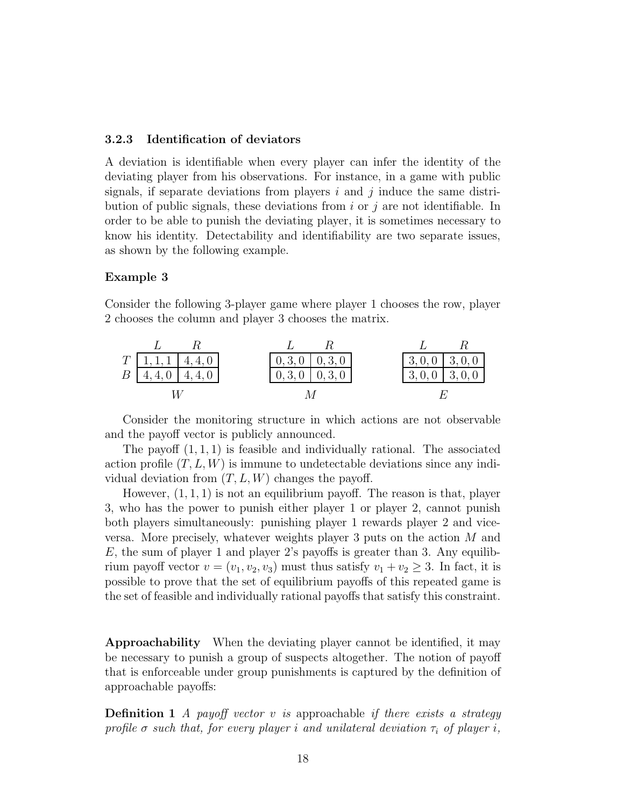#### 3.2.3 Identification of deviators

A deviation is identifiable when every player can infer the identity of the deviating player from his observations. For instance, in a game with public signals, if separate deviations from players  $i$  and  $j$  induce the same distribution of public signals, these deviations from i or j are not identifiable. In order to be able to punish the deviating player, it is sometimes necessary to know his identity. Detectability and identifiability are two separate issues, as shown by the following example.

#### Example 3

Consider the following 3-player game where player 1 chooses the row, player 2 chooses the column and player 3 chooses the matrix.



Consider the monitoring structure in which actions are not observable and the payoff vector is publicly announced.

The payoff  $(1, 1, 1)$  is feasible and individually rational. The associated action profile  $(T, L, W)$  is immune to undetectable deviations since any individual deviation from  $(T, L, W)$  changes the payoff.

However,  $(1, 1, 1)$  is not an equilibrium payoff. The reason is that, player 3, who has the power to punish either player 1 or player 2, cannot punish both players simultaneously: punishing player 1 rewards player 2 and viceversa. More precisely, whatever weights player 3 puts on the action M and  $E$ , the sum of player 1 and player 2's payoffs is greater than 3. Any equilibrium payoff vector  $v = (v_1, v_2, v_3)$  must thus satisfy  $v_1 + v_2 \geq 3$ . In fact, it is possible to prove that the set of equilibrium payoffs of this repeated game is the set of feasible and individually rational payoffs that satisfy this constraint.

Approachability When the deviating player cannot be identified, it may be necessary to punish a group of suspects altogether. The notion of payoff that is enforceable under group punishments is captured by the definition of approachable payoffs:

**Definition 1** A payoff vector v is approachable if there exists a strategy profile  $\sigma$  such that, for every player i and unilateral deviation  $\tau_i$  of player i,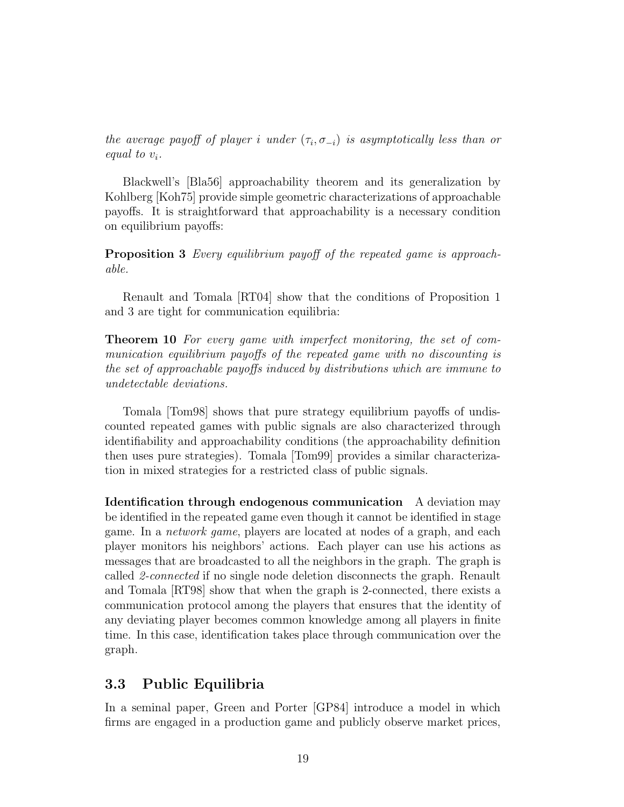the average payoff of player i under  $(\tau_i, \sigma_{-i})$  is asymptotically less than or equal to v<sup>i</sup> .

Blackwell's [Bla56] approachability theorem and its generalization by Kohlberg [Koh75] provide simple geometric characterizations of approachable payoffs. It is straightforward that approachability is a necessary condition on equilibrium payoffs:

**Proposition 3** Every equilibrium payoff of the repeated game is approachable.

Renault and Tomala [RT04] show that the conditions of Proposition 1 and 3 are tight for communication equilibria:

Theorem 10 For every game with imperfect monitoring, the set of communication equilibrium payoffs of the repeated game with no discounting is the set of approachable payoffs induced by distributions which are immune to undetectable deviations.

Tomala [Tom98] shows that pure strategy equilibrium payoffs of undiscounted repeated games with public signals are also characterized through identifiability and approachability conditions (the approachability definition then uses pure strategies). Tomala [Tom99] provides a similar characterization in mixed strategies for a restricted class of public signals.

Identification through endogenous communication A deviation may be identified in the repeated game even though it cannot be identified in stage game. In a network game, players are located at nodes of a graph, and each player monitors his neighbors' actions. Each player can use his actions as messages that are broadcasted to all the neighbors in the graph. The graph is called 2-connected if no single node deletion disconnects the graph. Renault and Tomala [RT98] show that when the graph is 2-connected, there exists a communication protocol among the players that ensures that the identity of any deviating player becomes common knowledge among all players in finite time. In this case, identification takes place through communication over the graph.

## 3.3 Public Equilibria

In a seminal paper, Green and Porter [GP84] introduce a model in which firms are engaged in a production game and publicly observe market prices,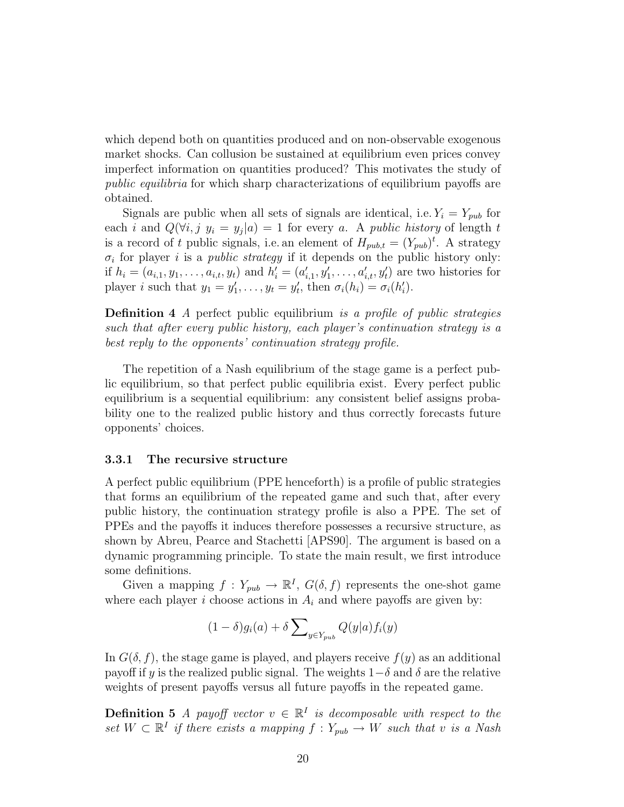which depend both on quantities produced and on non-observable exogenous market shocks. Can collusion be sustained at equilibrium even prices convey imperfect information on quantities produced? This motivates the study of public equilibria for which sharp characterizations of equilibrium payoffs are obtained.

Signals are public when all sets of signals are identical, i.e.  $Y_i = Y_{pub}$  for each *i* and  $Q(\forall i, j \ y_i = y_j | a) = 1$  for every *a*. A *public history* of length *t* is a record of t public signals, i.e. an element of  $H_{pub,t} = (Y_{pub})^t$ . A strategy  $\sigma_i$  for player *i* is a *public strategy* if it depends on the public history only: if  $h_i = (a_{i,1}, y_1, \ldots, a_{i,t}, y_t)$  and  $h'_i = (a'_{i,1}, y'_1, \ldots, a'_{i,t}, y'_t)$  are two histories for player *i* such that  $y_1 = y'_1, \ldots, y_t = y'_t$ , then  $\sigma_i(h_i) = \sigma_i(h'_i)$ .

**Definition 4** A perfect public equilibrium is a profile of public strategies such that after every public history, each player's continuation strategy is a best reply to the opponents' continuation strategy profile.

The repetition of a Nash equilibrium of the stage game is a perfect public equilibrium, so that perfect public equilibria exist. Every perfect public equilibrium is a sequential equilibrium: any consistent belief assigns probability one to the realized public history and thus correctly forecasts future opponents' choices.

#### 3.3.1 The recursive structure

A perfect public equilibrium (PPE henceforth) is a profile of public strategies that forms an equilibrium of the repeated game and such that, after every public history, the continuation strategy profile is also a PPE. The set of PPEs and the payoffs it induces therefore possesses a recursive structure, as shown by Abreu, Pearce and Stachetti [APS90]. The argument is based on a dynamic programming principle. To state the main result, we first introduce some definitions.

Given a mapping  $f: Y_{pub} \to \mathbb{R}^I$ ,  $G(\delta, f)$  represents the one-shot game where each player i choose actions in  $A_i$  and where payoffs are given by:

$$
(1 - \delta)g_i(a) + \delta \sum_{y \in Y_{pub}} Q(y|a) f_i(y)
$$

In  $G(\delta, f)$ , the stage game is played, and players receive  $f(y)$  as an additional payoff if y is the realized public signal. The weights  $1-\delta$  and  $\delta$  are the relative weights of present payoffs versus all future payoffs in the repeated game.

**Definition 5** A payoff vector  $v \in \mathbb{R}^I$  is decomposable with respect to the set  $W \subset \mathbb{R}^I$  if there exists a mapping  $f: Y_{pub} \to W$  such that v is a Nash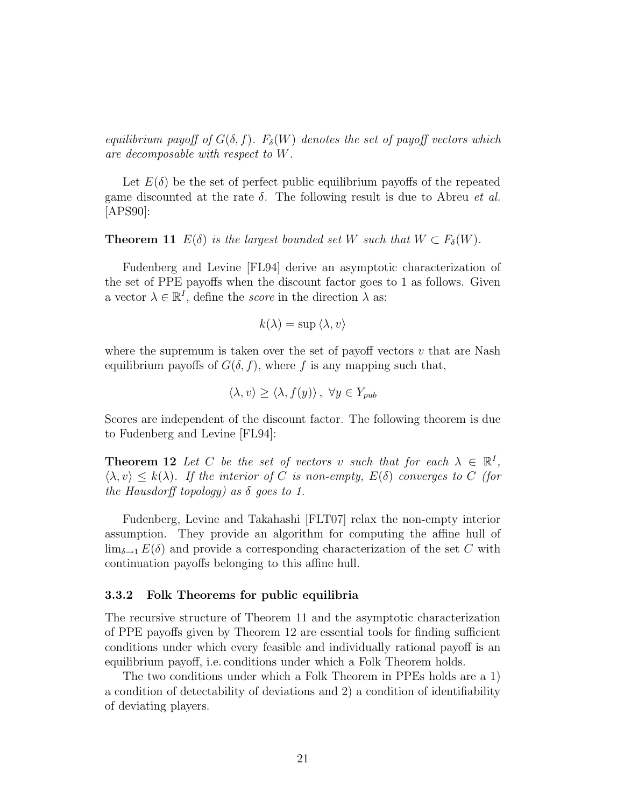equilibrium payoff of  $G(\delta, f)$ .  $F_{\delta}(W)$  denotes the set of payoff vectors which are decomposable with respect to W.

Let  $E(\delta)$  be the set of perfect public equilibrium payoffs of the repeated game discounted at the rate  $\delta$ . The following result is due to Abreu *et al.* [APS90]:

**Theorem 11**  $E(\delta)$  is the largest bounded set W such that  $W \subset F_{\delta}(W)$ .

Fudenberg and Levine [FL94] derive an asymptotic characterization of the set of PPE payoffs when the discount factor goes to 1 as follows. Given a vector  $\lambda \in \mathbb{R}^I$ , define the *score* in the direction  $\lambda$  as:

$$
k(\lambda) = \sup \langle \lambda, v \rangle
$$

where the supremum is taken over the set of payoff vectors  $v$  that are Nash equilibrium payoffs of  $G(\delta, f)$ , where f is any mapping such that,

$$
\langle \lambda, v \rangle \ge \langle \lambda, f(y) \rangle, \ \forall y \in Y_{pub}
$$

Scores are independent of the discount factor. The following theorem is due to Fudenberg and Levine [FL94]:

**Theorem 12** Let C be the set of vectors v such that for each  $\lambda \in \mathbb{R}^I$ ,  $\langle \lambda, v \rangle \leq k(\lambda)$ . If the interior of C is non-empty,  $E(\delta)$  converges to C (for the Hausdorff topology) as  $\delta$  goes to 1.

Fudenberg, Levine and Takahashi [FLT07] relax the non-empty interior assumption. They provide an algorithm for computing the affine hull of  $\lim_{\delta \to 1} E(\delta)$  and provide a corresponding characterization of the set C with continuation payoffs belonging to this affine hull.

#### 3.3.2 Folk Theorems for public equilibria

The recursive structure of Theorem 11 and the asymptotic characterization of PPE payoffs given by Theorem 12 are essential tools for finding sufficient conditions under which every feasible and individually rational payoff is an equilibrium payoff, i.e. conditions under which a Folk Theorem holds.

The two conditions under which a Folk Theorem in PPEs holds are a 1) a condition of detectability of deviations and 2) a condition of identifiability of deviating players.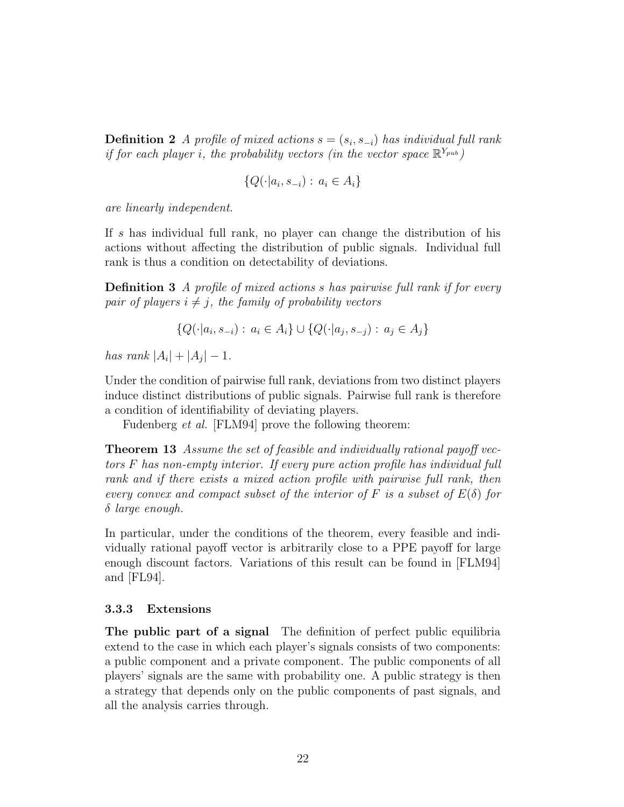**Definition 2** A profile of mixed actions  $s = (s_i, s_{-i})$  has individual full rank if for each player i, the probability vectors (in the vector space  $\mathbb{R}^{Y_{pub}}$ )

$$
\{Q(\cdot|a_i, s_{-i}): a_i \in A_i\}
$$

are linearly independent.

If s has individual full rank, no player can change the distribution of his actions without affecting the distribution of public signals. Individual full rank is thus a condition on detectability of deviations.

Definition 3 A profile of mixed actions s has pairwise full rank if for every pair of players  $i \neq j$ , the family of probability vectors

$$
\{Q(\cdot|a_i, s_{-i}) : a_i \in A_i\} \cup \{Q(\cdot|a_j, s_{-j}) : a_j \in A_j\}
$$

*has rank*  $|A_i| + |A_j| - 1$ .

Under the condition of pairwise full rank, deviations from two distinct players induce distinct distributions of public signals. Pairwise full rank is therefore a condition of identifiability of deviating players.

Fudenberg et al. [FLM94] prove the following theorem:

**Theorem 13** Assume the set of feasible and individually rational payoff vectors F has non-empty interior. If every pure action profile has individual full rank and if there exists a mixed action profile with pairwise full rank, then every convex and compact subset of the interior of F is a subset of  $E(\delta)$  for δ large enough.

In particular, under the conditions of the theorem, every feasible and individually rational payoff vector is arbitrarily close to a PPE payoff for large enough discount factors. Variations of this result can be found in [FLM94] and [FL94].

#### 3.3.3 Extensions

The public part of a signal The definition of perfect public equilibria extend to the case in which each player's signals consists of two components: a public component and a private component. The public components of all players' signals are the same with probability one. A public strategy is then a strategy that depends only on the public components of past signals, and all the analysis carries through.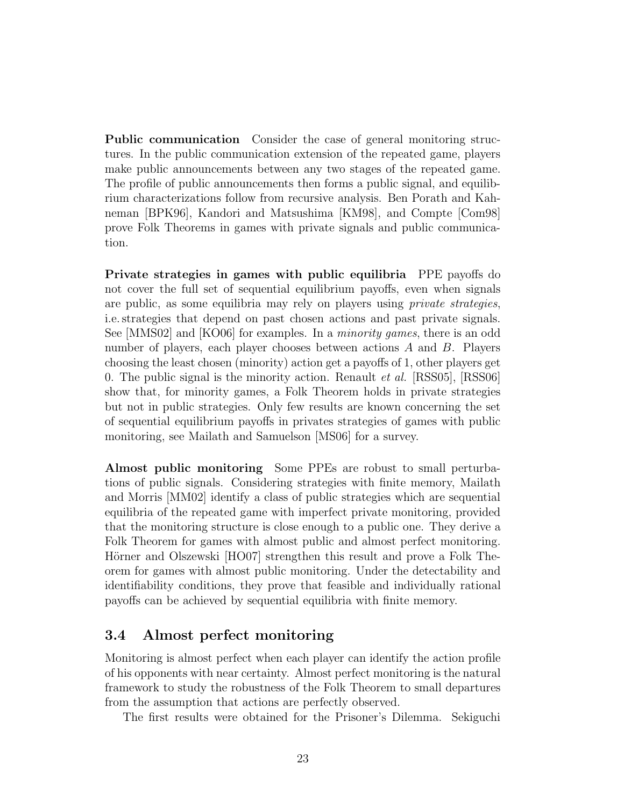Public communication Consider the case of general monitoring structures. In the public communication extension of the repeated game, players make public announcements between any two stages of the repeated game. The profile of public announcements then forms a public signal, and equilibrium characterizations follow from recursive analysis. Ben Porath and Kahneman [BPK96], Kandori and Matsushima [KM98], and Compte [Com98] prove Folk Theorems in games with private signals and public communication.

Private strategies in games with public equilibria PPE payoffs do not cover the full set of sequential equilibrium payoffs, even when signals are public, as some equilibria may rely on players using private strategies, i.e. strategies that depend on past chosen actions and past private signals. See MMS02 and KO06 for examples. In a *minority games*, there is an odd number of players, each player chooses between actions A and B. Players choosing the least chosen (minority) action get a payoffs of 1, other players get 0. The public signal is the minority action. Renault *et al.*  $[RSS05]$ ,  $[RSS06]$ show that, for minority games, a Folk Theorem holds in private strategies but not in public strategies. Only few results are known concerning the set of sequential equilibrium payoffs in privates strategies of games with public monitoring, see Mailath and Samuelson [MS06] for a survey.

Almost public monitoring Some PPEs are robust to small perturbations of public signals. Considering strategies with finite memory, Mailath and Morris [MM02] identify a class of public strategies which are sequential equilibria of the repeated game with imperfect private monitoring, provided that the monitoring structure is close enough to a public one. They derive a Folk Theorem for games with almost public and almost perfect monitoring. Hörner and Olszewski [HO07] strengthen this result and prove a Folk Theorem for games with almost public monitoring. Under the detectability and identifiability conditions, they prove that feasible and individually rational payoffs can be achieved by sequential equilibria with finite memory.

## 3.4 Almost perfect monitoring

Monitoring is almost perfect when each player can identify the action profile of his opponents with near certainty. Almost perfect monitoring is the natural framework to study the robustness of the Folk Theorem to small departures from the assumption that actions are perfectly observed.

The first results were obtained for the Prisoner's Dilemma. Sekiguchi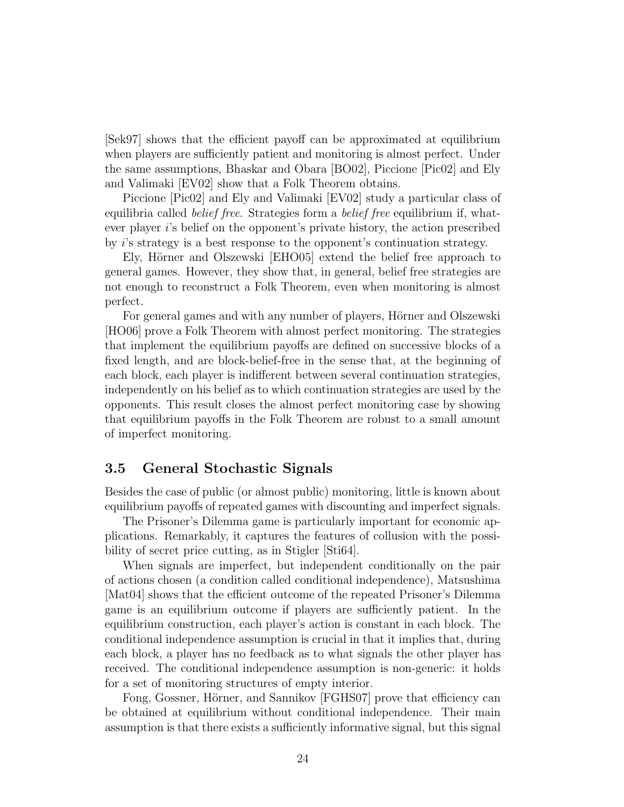[Sek97] shows that the efficient payoff can be approximated at equilibrium when players are sufficiently patient and monitoring is almost perfect. Under the same assumptions, Bhaskar and Obara [BO02], Piccione [Pic02] and Ely and Valimaki [EV02] show that a Folk Theorem obtains.

Piccione [Pic02] and Ely and Valimaki [EV02] study a particular class of equilibria called belief free. Strategies form a belief free equilibrium if, whatever player i's belief on the opponent's private history, the action prescribed by i's strategy is a best response to the opponent's continuation strategy.

Ely, Hörner and Olszewski [EHO05] extend the belief free approach to general games. However, they show that, in general, belief free strategies are not enough to reconstruct a Folk Theorem, even when monitoring is almost perfect.

For general games and with any number of players, Hörner and Olszewski [HO06] prove a Folk Theorem with almost perfect monitoring. The strategies that implement the equilibrium payoffs are defined on successive blocks of a fixed length, and are block-belief-free in the sense that, at the beginning of each block, each player is indifferent between several continuation strategies, independently on his belief as to which continuation strategies are used by the opponents. This result closes the almost perfect monitoring case by showing that equilibrium payoffs in the Folk Theorem are robust to a small amount of imperfect monitoring.

### 3.5 General Stochastic Signals

Besides the case of public (or almost public) monitoring, little is known about equilibrium payoffs of repeated games with discounting and imperfect signals.

The Prisoner's Dilemma game is particularly important for economic applications. Remarkably, it captures the features of collusion with the possibility of secret price cutting, as in Stigler [Sti64].

When signals are imperfect, but independent conditionally on the pair of actions chosen (a condition called conditional independence), Matsushima [Mat04] shows that the efficient outcome of the repeated Prisoner's Dilemma game is an equilibrium outcome if players are sufficiently patient. In the equilibrium construction, each player's action is constant in each block. The conditional independence assumption is crucial in that it implies that, during each block, a player has no feedback as to what signals the other player has received. The conditional independence assumption is non-generic: it holds for a set of monitoring structures of empty interior.

Fong, Gossner, Hörner, and Sannikov [FGHS07] prove that efficiency can be obtained at equilibrium without conditional independence. Their main assumption is that there exists a sufficiently informative signal, but this signal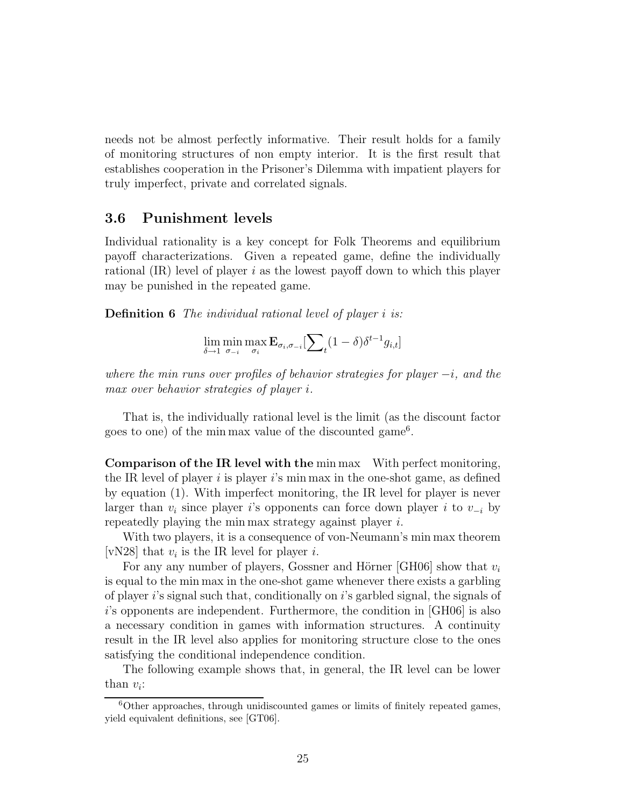needs not be almost perfectly informative. Their result holds for a family of monitoring structures of non empty interior. It is the first result that establishes cooperation in the Prisoner's Dilemma with impatient players for truly imperfect, private and correlated signals.

### 3.6 Punishment levels

Individual rationality is a key concept for Folk Theorems and equilibrium payoff characterizations. Given a repeated game, define the individually rational  $(IR)$  level of player i as the lowest payoff down to which this player may be punished in the repeated game.

**Definition 6** The individual rational level of player i is:

$$
\lim_{\delta \to 1} \min_{\sigma_{-i}} \max_{\sigma_i} \mathbf{E}_{\sigma_i, \sigma_{-i}}[\sum_{t} (1-\delta) \delta^{t-1} g_{i,t}]
$$

where the min runs over profiles of behavior strategies for player  $-i$ , and the max over behavior strategies of player i.

That is, the individually rational level is the limit (as the discount factor goes to one) of the min max value of the discounted game<sup>6</sup>.

Comparison of the IR level with the min max With perfect monitoring, the IR level of player i is player i's min max in the one-shot game, as defined by equation (1). With imperfect monitoring, the IR level for player is never larger than  $v_i$  since player i's opponents can force down player i to  $v_{-i}$  by repeatedly playing the min max strategy against player i.

With two players, it is a consequence of von-Neumann's min max theorem [vN28] that  $v_i$  is the IR level for player *i*.

For any any number of players, Gossner and Hörner [GH06] show that  $v_i$ is equal to the min max in the one-shot game whenever there exists a garbling of player  $i$ 's signal such that, conditionally on  $i$ 's garbled signal, the signals of i's opponents are independent. Furthermore, the condition in [GH06] is also a necessary condition in games with information structures. A continuity result in the IR level also applies for monitoring structure close to the ones satisfying the conditional independence condition.

The following example shows that, in general, the IR level can be lower than  $v_i$ :

 $6$ Other approaches, through unidiscounted games or limits of finitely repeated games, yield equivalent definitions, see [GT06].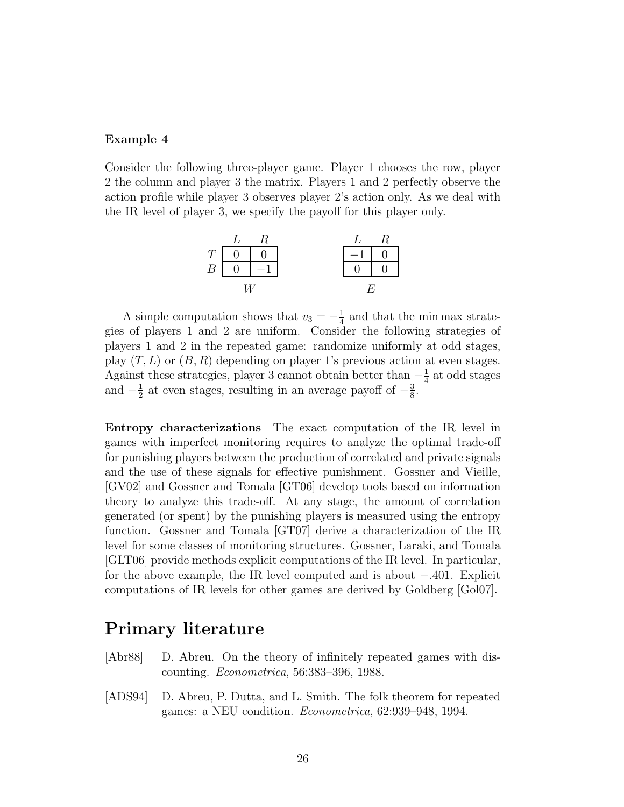#### Example 4

Consider the following three-player game. Player 1 chooses the row, player 2 the column and player 3 the matrix. Players 1 and 2 perfectly observe the action profile while player 3 observes player 2's action only. As we deal with the IR level of player 3, we specify the payoff for this player only.



A simple computation shows that  $v_3 = -\frac{1}{4}$  $\frac{1}{4}$  and that the min max strategies of players 1 and 2 are uniform. Consider the following strategies of players 1 and 2 in the repeated game: randomize uniformly at odd stages, play  $(T, L)$  or  $(B, R)$  depending on player 1's previous action at even stages. Against these strategies, player 3 cannot obtain better than  $-\frac{1}{4}$  $\frac{1}{4}$  at odd stages and  $-\frac{1}{2}$  $\frac{1}{2}$  at even stages, resulting in an average payoff of  $-\frac{3}{8}$  $\frac{3}{8}$ .

Entropy characterizations The exact computation of the IR level in games with imperfect monitoring requires to analyze the optimal trade-off for punishing players between the production of correlated and private signals and the use of these signals for effective punishment. Gossner and Vieille, [GV02] and Gossner and Tomala [GT06] develop tools based on information theory to analyze this trade-off. At any stage, the amount of correlation generated (or spent) by the punishing players is measured using the entropy function. Gossner and Tomala [GT07] derive a characterization of the IR level for some classes of monitoring structures. Gossner, Laraki, and Tomala [GLT06] provide methods explicit computations of the IR level. In particular, for the above example, the IR level computed and is about −.401. Explicit computations of IR levels for other games are derived by Goldberg [Gol07].

## Primary literature

- [Abr88] D. Abreu. On the theory of infinitely repeated games with discounting. Econometrica, 56:383–396, 1988.
- [ADS94] D. Abreu, P. Dutta, and L. Smith. The folk theorem for repeated games: a NEU condition. Econometrica, 62:939–948, 1994.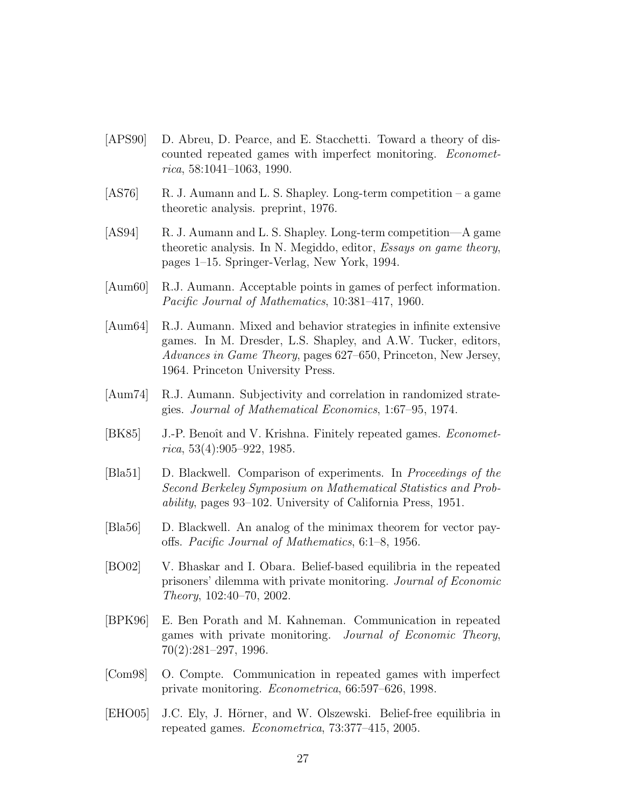- [APS90] D. Abreu, D. Pearce, and E. Stacchetti. Toward a theory of discounted repeated games with imperfect monitoring. Economet $rica, 58:1041-1063, 1990.$
- [AS76] R. J. Aumann and L. S. Shapley. Long-term competition a game theoretic analysis. preprint, 1976.
- [AS94] R. J. Aumann and L. S. Shapley. Long-term competition—A game theoretic analysis. In N. Megiddo, editor, Essays on game theory, pages 1–15. Springer-Verlag, New York, 1994.
- [Aum60] R.J. Aumann. Acceptable points in games of perfect information. Pacific Journal of Mathematics, 10:381–417, 1960.
- [Aum64] R.J. Aumann. Mixed and behavior strategies in infinite extensive games. In M. Dresder, L.S. Shapley, and A.W. Tucker, editors, Advances in Game Theory, pages 627–650, Princeton, New Jersey, 1964. Princeton University Press.
- [Aum74] R.J. Aumann. Subjectivity and correlation in randomized strategies. Journal of Mathematical Economics, 1:67–95, 1974.
- [BK85] J.-P. Benoît and V. Krishna. Finitely repeated games. *Economet* $rica, 53(4):905-922, 1985.$
- [Bla51] D. Blackwell. Comparison of experiments. In *Proceedings of the* Second Berkeley Symposium on Mathematical Statistics and Probability, pages 93–102. University of California Press, 1951.
- [Bla56] D. Blackwell. An analog of the minimax theorem for vector payoffs. Pacific Journal of Mathematics, 6:1–8, 1956.
- [BO02] V. Bhaskar and I. Obara. Belief-based equilibria in the repeated prisoners' dilemma with private monitoring. Journal of Economic Theory, 102:40–70, 2002.
- [BPK96] E. Ben Porath and M. Kahneman. Communication in repeated games with private monitoring. Journal of Economic Theory, 70(2):281–297, 1996.
- [Com98] O. Compte. Communication in repeated games with imperfect private monitoring. Econometrica, 66:597–626, 1998.
- [EHO05] J.C. Ely, J. Hörner, and W. Olszewski. Belief-free equilibria in repeated games. Econometrica, 73:377–415, 2005.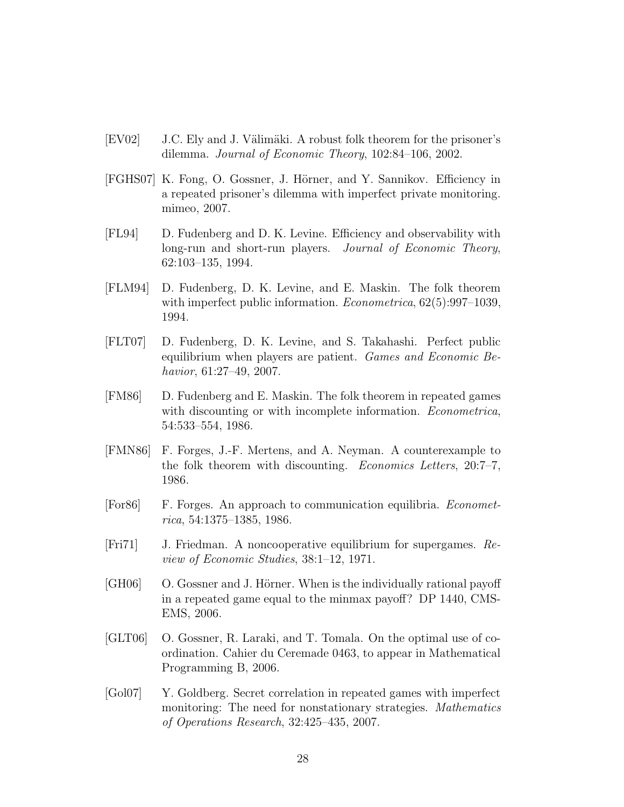- [EV02] J.C. Ely and J. Välimäki. A robust folk theorem for the prisoner's dilemma. Journal of Economic Theory, 102:84–106, 2002.
- [FGHS07] K. Fong, O. Gossner, J. Hörner, and Y. Sannikov. Efficiency in a repeated prisoner's dilemma with imperfect private monitoring. mimeo, 2007.
- [FL94] D. Fudenberg and D. K. Levine. Efficiency and observability with long-run and short-run players. *Journal of Economic Theory*, 62:103–135, 1994.
- [FLM94] D. Fudenberg, D. K. Levine, and E. Maskin. The folk theorem with imperfect public information. *Econometrica*, 62(5):997–1039, 1994.
- [FLT07] D. Fudenberg, D. K. Levine, and S. Takahashi. Perfect public equilibrium when players are patient. *Games and Economic Be*havior, 61:27–49, 2007.
- [FM86] D. Fudenberg and E. Maskin. The folk theorem in repeated games with discounting or with incomplete information. *Econometrica*, 54:533–554, 1986.
- [FMN86] F. Forges, J.-F. Mertens, and A. Neyman. A counterexample to the folk theorem with discounting. Economics Letters, 20:7–7, 1986.
- [For86] F. Forges. An approach to communication equilibria. Econometrica, 54:1375–1385, 1986.
- [Fri71] J. Friedman. A noncooperative equilibrium for supergames. Review of Economic Studies, 38:1–12, 1971.
- [GH06] O. Gossner and J. Hörner. When is the individually rational payoff in a repeated game equal to the minmax payoff? DP 1440, CMS-EMS, 2006.
- [GLT06] O. Gossner, R. Laraki, and T. Tomala. On the optimal use of coordination. Cahier du Ceremade 0463, to appear in Mathematical Programming B, 2006.
- [Gol07] Y. Goldberg. Secret correlation in repeated games with imperfect monitoring: The need for nonstationary strategies. Mathematics of Operations Research, 32:425–435, 2007.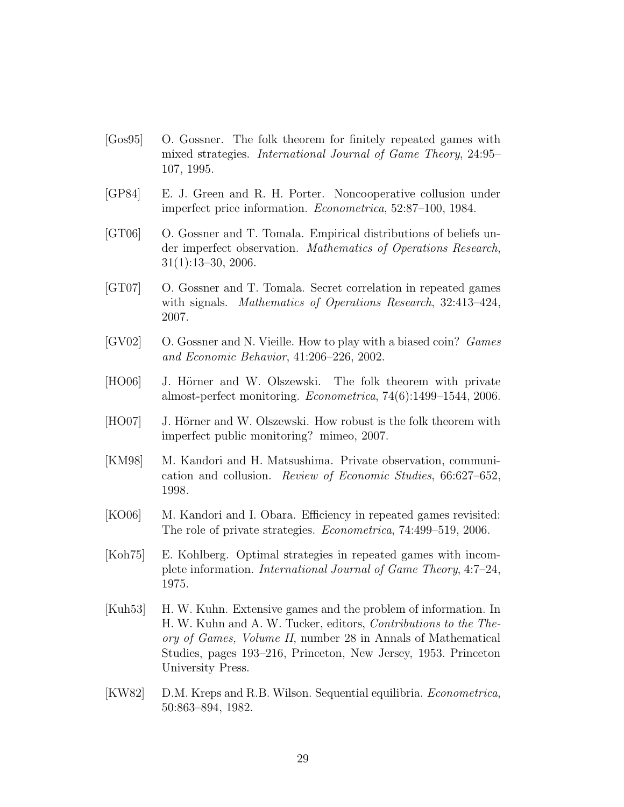- [Gos95] O. Gossner. The folk theorem for finitely repeated games with mixed strategies. International Journal of Game Theory, 24:95– 107, 1995.
- [GP84] E. J. Green and R. H. Porter. Noncooperative collusion under imperfect price information. Econometrica, 52:87–100, 1984.
- [GT06] O. Gossner and T. Tomala. Empirical distributions of beliefs under imperfect observation. Mathematics of Operations Research, 31(1):13–30, 2006.
- [GT07] O. Gossner and T. Tomala. Secret correlation in repeated games with signals. *Mathematics of Operations Research*, 32:413-424, 2007.
- [GV02] O. Gossner and N. Vieille. How to play with a biased coin? Games and Economic Behavior, 41:206–226, 2002.
- [HO06] J. Hörner and W. Olszewski. The folk theorem with private almost-perfect monitoring. Econometrica, 74(6):1499–1544, 2006.
- [HO07] J. Hörner and W. Olszewski. How robust is the folk theorem with imperfect public monitoring? mimeo, 2007.
- [KM98] M. Kandori and H. Matsushima. Private observation, communication and collusion. Review of Economic Studies, 66:627–652, 1998.
- [KO06] M. Kandori and I. Obara. Efficiency in repeated games revisited: The role of private strategies. Econometrica, 74:499–519, 2006.
- [Koh75] E. Kohlberg. Optimal strategies in repeated games with incomplete information. International Journal of Game Theory, 4:7–24, 1975.
- [Kuh53] H. W. Kuhn. Extensive games and the problem of information. In H. W. Kuhn and A. W. Tucker, editors, Contributions to the Theory of Games, Volume II, number 28 in Annals of Mathematical Studies, pages 193–216, Princeton, New Jersey, 1953. Princeton University Press.
- [KW82] D.M. Kreps and R.B. Wilson. Sequential equilibria. Econometrica, 50:863–894, 1982.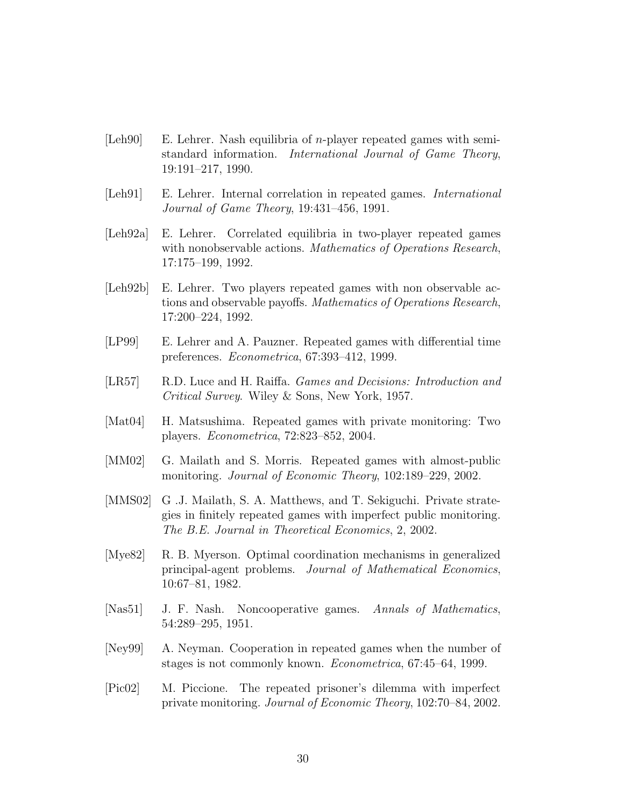- [Leh90] E. Lehrer. Nash equilibria of *n*-player repeated games with semistandard information. International Journal of Game Theory, 19:191–217, 1990.
- [Leh91] E. Lehrer. Internal correlation in repeated games. International Journal of Game Theory, 19:431–456, 1991.
- [Leh92a] E. Lehrer. Correlated equilibria in two-player repeated games with nonobservable actions. Mathematics of Operations Research, 17:175–199, 1992.
- [Leh92b] E. Lehrer. Two players repeated games with non observable actions and observable payoffs. Mathematics of Operations Research, 17:200–224, 1992.
- [LP99] E. Lehrer and A. Pauzner. Repeated games with differential time preferences. Econometrica, 67:393–412, 1999.
- [LR57] R.D. Luce and H. Raiffa. Games and Decisions: Introduction and Critical Survey. Wiley & Sons, New York, 1957.
- [Mat04] H. Matsushima. Repeated games with private monitoring: Two players. Econometrica, 72:823–852, 2004.
- [MM02] G. Mailath and S. Morris. Repeated games with almost-public monitoring. Journal of Economic Theory, 102:189–229, 2002.
- [MMS02] G .J. Mailath, S. A. Matthews, and T. Sekiguchi. Private strategies in finitely repeated games with imperfect public monitoring. The B.E. Journal in Theoretical Economics, 2, 2002.
- [Mye82] R. B. Myerson. Optimal coordination mechanisms in generalized principal-agent problems. Journal of Mathematical Economics, 10:67–81, 1982.
- [Nas51] J. F. Nash. Noncooperative games. Annals of Mathematics, 54:289–295, 1951.
- [Ney99] A. Neyman. Cooperation in repeated games when the number of stages is not commonly known. Econometrica, 67:45–64, 1999.
- [Pic02] M. Piccione. The repeated prisoner's dilemma with imperfect private monitoring. Journal of Economic Theory, 102:70–84, 2002.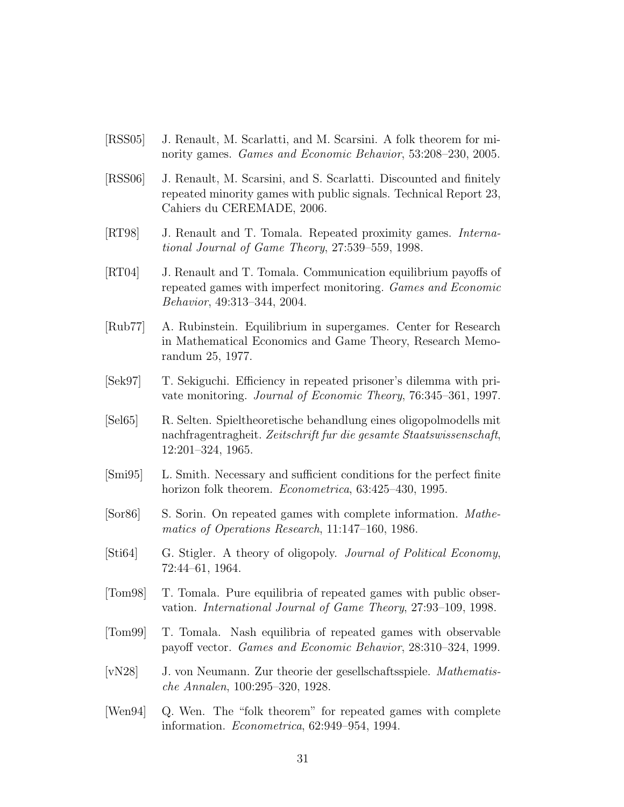- [RSS05] J. Renault, M. Scarlatti, and M. Scarsini. A folk theorem for minority games. Games and Economic Behavior, 53:208–230, 2005.
- [RSS06] J. Renault, M. Scarsini, and S. Scarlatti. Discounted and finitely repeated minority games with public signals. Technical Report 23, Cahiers du CEREMADE, 2006.
- [RT98] J. Renault and T. Tomala. Repeated proximity games. International Journal of Game Theory, 27:539–559, 1998.
- [RT04] J. Renault and T. Tomala. Communication equilibrium payoffs of repeated games with imperfect monitoring. Games and Economic Behavior, 49:313–344, 2004.
- [Rub77] A. Rubinstein. Equilibrium in supergames. Center for Research in Mathematical Economics and Game Theory, Research Memorandum 25, 1977.
- [Sek97] T. Sekiguchi. Efficiency in repeated prisoner's dilemma with private monitoring. Journal of Economic Theory, 76:345–361, 1997.
- [Sel65] R. Selten. Spieltheoretische behandlung eines oligopolmodells mit nachfragentragheit. Zeitschrift fur die gesamte Staatswissenschaft, 12:201–324, 1965.
- [Smi95] L. Smith. Necessary and sufficient conditions for the perfect finite horizon folk theorem. *Econometrica*, 63:425-430, 1995.
- [Sor86] S. Sorin. On repeated games with complete information. Mathematics of Operations Research, 11:147–160, 1986.
- [Sti64] G. Stigler. A theory of oligopoly. Journal of Political Economy, 72:44–61, 1964.
- [Tom98] T. Tomala. Pure equilibria of repeated games with public observation. International Journal of Game Theory, 27:93–109, 1998.
- [Tom99] T. Tomala. Nash equilibria of repeated games with observable payoff vector. Games and Economic Behavior, 28:310–324, 1999.
- [vN28] J. von Neumann. Zur theorie der gesellschaftsspiele. Mathematische Annalen, 100:295–320, 1928.
- [Wen94] Q. Wen. The "folk theorem" for repeated games with complete information. Econometrica, 62:949–954, 1994.